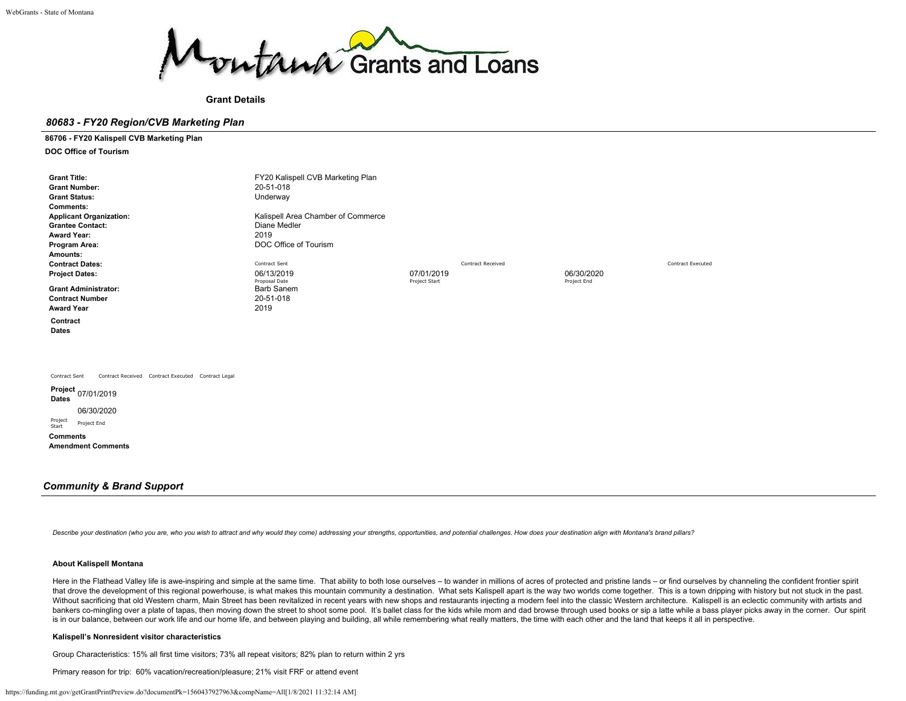

**Grant Details**

# *80683 - FY20 Region/CVB Marketing Plan*

**86706 - FY20 Kalispell CVB Marketing Plan**

**DOC Office of Tourism**

| <b>Grant Title:</b><br><b>Grant Number:</b>                         | FY20 Kalispell CVB Marketing Plan<br>20-51-018 |               |                          |             |                          |
|---------------------------------------------------------------------|------------------------------------------------|---------------|--------------------------|-------------|--------------------------|
| <b>Grant Status:</b>                                                | Underway                                       |               |                          |             |                          |
| <b>Comments:</b>                                                    |                                                |               |                          |             |                          |
| <b>Applicant Organization:</b>                                      | Kalispell Area Chamber of Commerce             |               |                          |             |                          |
| <b>Grantee Contact:</b>                                             | Diane Medler                                   |               |                          |             |                          |
| <b>Award Year:</b>                                                  | 2019                                           |               |                          |             |                          |
| Program Area:                                                       | DOC Office of Tourism                          |               |                          |             |                          |
| Amounts:                                                            |                                                |               |                          |             |                          |
| <b>Contract Dates:</b>                                              | Contract Sent                                  |               | <b>Contract Received</b> |             | <b>Contract Executed</b> |
| <b>Project Dates:</b>                                               | 06/13/2019                                     | 07/01/2019    |                          | 06/30/2020  |                          |
|                                                                     | Proposal Date                                  | Project Start |                          | Project End |                          |
| <b>Grant Administrator:</b>                                         | Barb Sanem                                     |               |                          |             |                          |
| <b>Contract Number</b>                                              | 20-51-018                                      |               |                          |             |                          |
| <b>Award Year</b>                                                   | 2019                                           |               |                          |             |                          |
| Contract<br><b>Dates</b>                                            |                                                |               |                          |             |                          |
|                                                                     |                                                |               |                          |             |                          |
|                                                                     |                                                |               |                          |             |                          |
| Contract Sent<br>Contract Received Contract Executed Contract Legal |                                                |               |                          |             |                          |
| Project <sub>07/01/2019</sub><br>Dates                              |                                                |               |                          |             |                          |
| 06/30/2020                                                          |                                                |               |                          |             |                          |
| Project<br>Project End<br>Start                                     |                                                |               |                          |             |                          |

**Amendment Comments**

**Comments**

# *Community & Brand Support*

Describe your destination (who you are, who you wish to attract and why would they come) addressing your strengths, opportunities, and potential challenges. How does your destination align with Montana's brand pillars?

# **About Kalispell Montana**

Here in the Flathead Valley life is awe-inspiring and simple at the same time. That ability to both lose ourselves - to wander in millions of acres of protected and pristine lands - or find ourselves by channeling the conf that drove the development of this regional powerhouse, is what makes this mountain community a destination. What sets Kalispell apart is the way two worlds come together. This is a town dripping with history but not stuck Without sacrificing that old Western charm, Main Street has been revitalized in recent years with new shops and restaurants injecting a modern feel into the classic Western architecture. Kalispell is an eclectic community bankers co-mingling over a plate of tapas, then moving down the street to shoot some pool. It's ballet class for the kids while mom and dad browse through used books or sip a latte while a bass player picks away in the cor is in our balance, between our work life and our home life, and between playing and building, all while remembering what really matters, the time with each other and the land that keeps it all in perspective.

# **Kalispell's Nonresident visitor characteristics**

Group Characteristics: 15% all first time visitors; 73% all repeat visitors; 82% plan to return within 2 yrs

Primary reason for trip: 60% vacation/recreation/pleasure; 21% visit FRF or attend event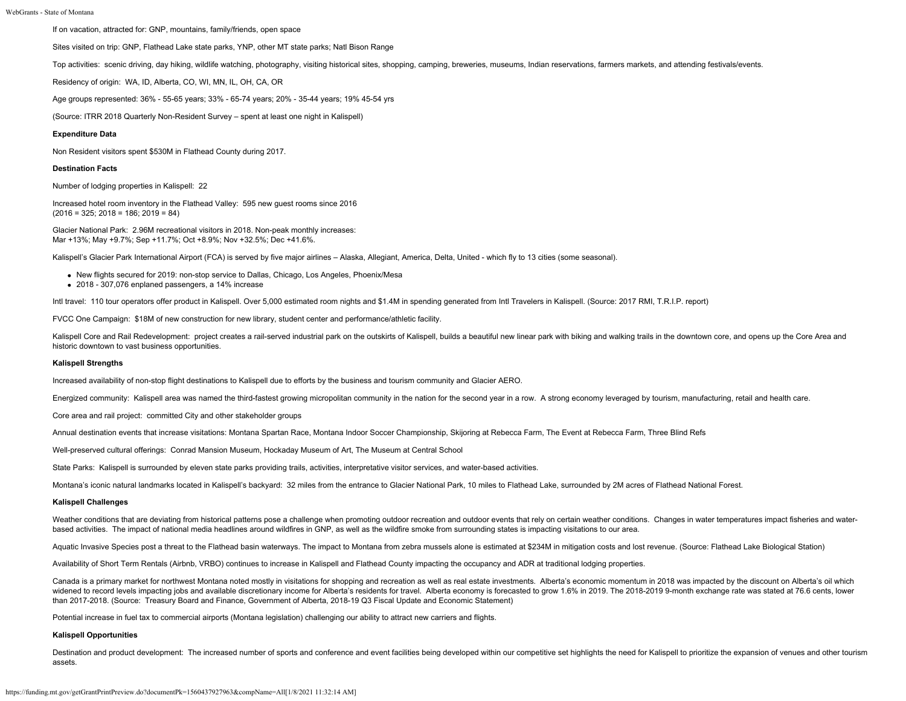If on vacation, attracted for: GNP, mountains, family/friends, open space

Sites visited on trip: GNP, Flathead Lake state parks, YNP, other MT state parks; Natl Bison Range

Top activities: scenic driving, day hiking, wildlife watching, photography, visiting historical sites, shopping, camping, breweries, museums, Indian reservations, farmers markets, and attending festivals/events.

Residency of origin: WA, ID, Alberta, CO, WI, MN, IL, OH, CA, OR

Age groups represented: 36% - 55-65 years; 33% - 65-74 years; 20% - 35-44 years; 19% 45-54 yrs

(Source: ITRR 2018 Quarterly Non-Resident Survey – spent at least one night in Kalispell)

# **Expenditure Data**

Non Resident visitors spent \$530M in Flathead County during 2017.

#### **Destination Facts**

Number of lodging properties in Kalispell: 22

Increased hotel room inventory in the Flathead Valley: 595 new guest rooms since 2016  $(2016 = 325; 2018 = 186; 2019 = 84)$ 

Glacier National Park: 2.96M recreational visitors in 2018. Non-peak monthly increases: Mar +13%; May +9.7%; Sep +11.7%; Oct +8.9%; Nov +32.5%; Dec +41.6%.

Kalispell's Glacier Park International Airport (FCA) is served by five major airlines - Alaska, Allegiant, America, Delta, United - which fly to 13 cities (some seasonal).

- New flights secured for 2019: non-stop service to Dallas, Chicago, Los Angeles, Phoenix/Mesa
- 2018 307,076 enplaned passengers, a 14% increase

Intl travel: 110 tour operators offer product in Kalispell. Over 5,000 estimated room nights and \$1.4M in spending generated from Intl Travelers in Kalispell. (Source: 2017 RMI, T.R.I.P. report)

FVCC One Campaign: \$18M of new construction for new library, student center and performance/athletic facility.

Kalispell Core and Rail Redevelopment: project creates a rail-served industrial park on the outskirts of Kalispell, builds a beautiful new linear park with biking and walking trails in the downtown core, and opens up the C historic downtown to vast business opportunities.

#### **Kalispell Strengths**

Increased availability of non-stop flight destinations to Kalispell due to efforts by the business and tourism community and Glacier AERO.

Energized community: Kalispell area was named the third-fastest growing micropolitan community in the nation for the second year in a row. A strong economy leveraged by tourism, manufacturing, retail and health care.

Core area and rail project: committed City and other stakeholder groups

Annual destination events that increase visitations: Montana Spartan Race, Montana Indoor Soccer Championship, Skijoring at Rebecca Farm, The Event at Rebecca Farm, Three Blind Refs

Well-preserved cultural offerings: Conrad Mansion Museum, Hockaday Museum of Art, The Museum at Central School

State Parks: Kalispell is surrounded by eleven state parks providing trails, activities, interpretative visitor services, and water-based activities.

Montana's iconic natural landmarks located in Kalispell's backyard: 32 miles from the entrance to Glacier National Park, 10 miles to Flathead Lake, surrounded by 2M acres of Flathead National Forest.

#### **Kalispell Challenges**

Weather conditions that are deviating from historical patterns pose a challenge when promoting outdoor recreation and outdoor events that rely on certain weather conditions. Changes in water temperatures impact fisheries a based activities. The impact of national media headlines around wildfires in GNP, as well as the wildfire smoke from surrounding states is impacting visitations to our area.

Aquatic Invasive Species post a threat to the Flathead basin waterways. The impact to Montana from zebra mussels alone is estimated at \$234M in mitigation costs and lost revenue. (Source: Flathead Lake Biological Station)

Availability of Short Term Rentals (Airbnb, VRBO) continues to increase in Kalispell and Flathead County impacting the occupancy and ADR at traditional lodging properties.

Canada is a primary market for northwest Montana noted mostly in visitations for shopping and recreation as well as real estate investments. Alberta's economic momentum in 2018 was impacted by the discount on Alberta's oil widened to record levels impacting jobs and available discretionary income for Alberta's residents for travel. Alberta economy is forecasted to grow 1.6% in 2019. The 2018-2019 9-month exchange rate was stated at 76.6 cent than 2017-2018. (Source: Treasury Board and Finance, Government of Alberta, 2018-19 Q3 Fiscal Update and Economic Statement)

Potential increase in fuel tax to commercial airports (Montana legislation) challenging our ability to attract new carriers and flights.

# **Kalispell Opportunities**

Destination and product development: The increased number of sports and conference and event facilities being developed within our competitive set highlights the need for Kalispell to prioritize the expansion of venues and assets.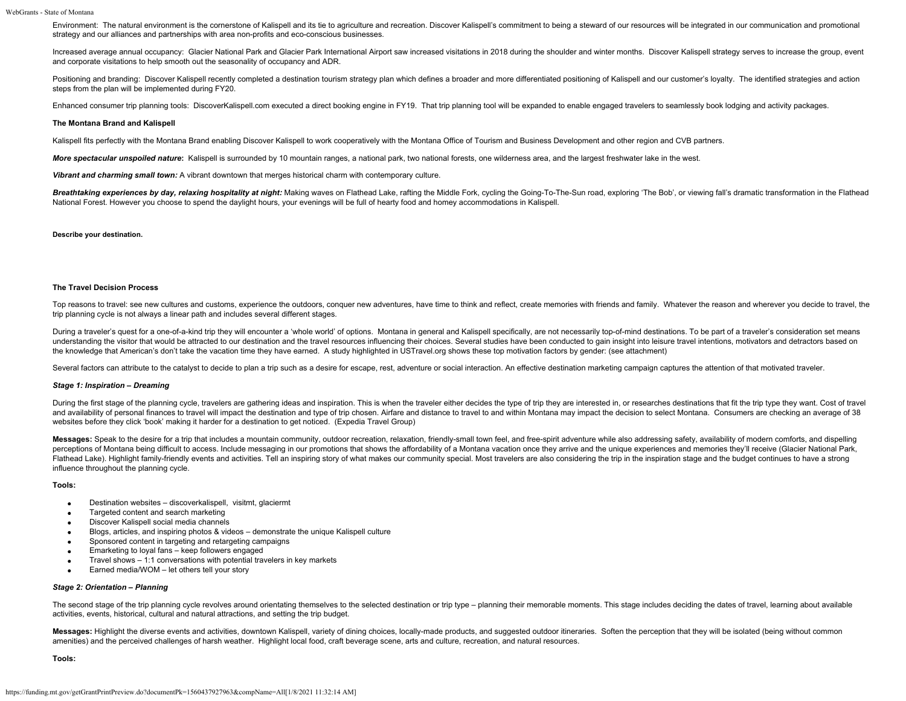Environment: The natural environment is the cornerstone of Kalispell and its tie to agriculture and recreation. Discover Kalispell's commitment to being a steward of our resources will be integrated in our communication an strategy and our alliances and partnerships with area non-profits and eco-conscious businesses.

Increased average annual occupancy: Glacier National Park and Glacier Park International Airport saw increased visitations in 2018 during the shoulder and winter months. Discover Kalispell strategy serves to increase the g and corporate visitations to help smooth out the seasonality of occupancy and ADR.

Positioning and branding: Discover Kalispell recently completed a destination tourism strategy plan which defines a broader and more differentiated positioning of Kalispell and our customer's loyalty. The identified strate steps from the plan will be implemented during FY20.

Enhanced consumer trip planning tools: DiscoverKalispell.com executed a direct booking engine in FY19. That trip planning tool will be expanded to enable engaged travelers to seamlessly book lodging and activity packages.

#### **The Montana Brand and Kalispell**

Kalispell fits perfectly with the Montana Brand enabling Discover Kalispell to work cooperatively with the Montana Office of Tourism and Business Development and other region and CVB partners.

More spectacular unspoiled nature: Kalispell is surrounded by 10 mountain ranges, a national park, two national forests, one wilderness area, and the largest freshwater lake in the west.

*Vibrant and charming small town:* A vibrant downtown that merges historical charm with contemporary culture.

Breathtaking experiences by day, relaxing hospitality at night: Making waves on Flathead Lake, rafting the Middle Fork, cycling the Going-To-The-Sun road, exploring 'The Bob', or viewing fall's dramatic transformation in t National Forest. However you choose to spend the daylight hours, your evenings will be full of hearty food and homey accommodations in Kalispell.

#### **Describe your destination.**

#### **The Travel Decision Process**

Top reasons to travel: see new cultures and customs, experience the outdoors, conquer new adventures, have time to think and reflect, create memories with friends and family. Whatever the reason and wherever you decide to trip planning cycle is not always a linear path and includes several different stages.

During a traveler's quest for a one-of-a-kind trip they will encounter a 'whole world' of options. Montana in general and Kalispell specifically, are not necessarily top-of-mind destinations. To be part of a traveler's con understanding the visitor that would be attracted to our destination and the travel resources influencing their choices. Several studies have been conducted to gain insight into leisure travel intentions, motivators and de the knowledge that American's don't take the vacation time they have earned. A study highlighted in USTravel.org shows these top motivation factors by gender: (see attachment)

Several factors can attribute to the catalyst to decide to plan a trip such as a desire for escape, rest, adventure or social interaction. An effective destination marketing campaign captures the attention of that motivate

# *Stage 1: Inspiration – Dreaming*

During the first stage of the planning cycle, travelers are gathering ideas and inspiration. This is when the traveler either decides the type of trip they are interested in, or researches destinations that fit the trip ty and availability of personal finances to travel will impact the destination and type of trip chosen. Airfare and distance to travel to and within Montana may impact the decision to select Montana. Consumers are checking an websites before they click 'book' making it harder for a destination to get noticed. (Expedia Travel Group)

Messages: Speak to the desire for a trip that includes a mountain community, outdoor recreation, relaxation, friendly-small town feel, and free-spirit adventure while also addressing safety, availability of modern comforts perceptions of Montana being difficult to access, Include messaging in our promotions that shows the affordability of a Montana vacation once they arrive and the unique experiences and memories they'll receive (Glacier Nat Flathead Lake). Highlight family-friendly events and activities. Tell an inspiring story of what makes our community special. Most travelers are also considering the trip in the inspiration stage and the budget continues t influence throughout the planning cycle.

#### **Tools:**

- Destination websites discoverkalispell, visitmt, glaciermt  $\bullet$
- Targeted content and search marketing  $\bullet$
- Discover Kalispell social media channels  $\bullet$
- Blogs, articles, and inspiring photos & videos demonstrate the unique Kalispell culture  $\bullet$
- Sponsored content in targeting and retargeting campaigns  $\bullet$
- Emarketing to loyal fans keep followers engaged  $\bullet$
- Travel shows 1:1 conversations with potential travelers in key markets  $\bullet$
- Earned media/WOM let others tell your story

# *Stage 2: Orientation – Planning*

The second stage of the trip planning cycle revolves around orientating themselves to the selected destination or trip type - planning their memorable moments. This stage includes deciding the dates of travel, learning abo activities, events, historical, cultural and natural attractions, and setting the trip budget.

Messages: Highlight the diverse events and activities, downtown Kalispell, variety of dining choices, locally-made products, and suggested outdoor itineraries. Soften the perception that they will be isolated (being withou amenities) and the perceived challenges of harsh weather. Highlight local food, craft beverage scene, arts and culture, recreation, and natural resources.

**Tools:**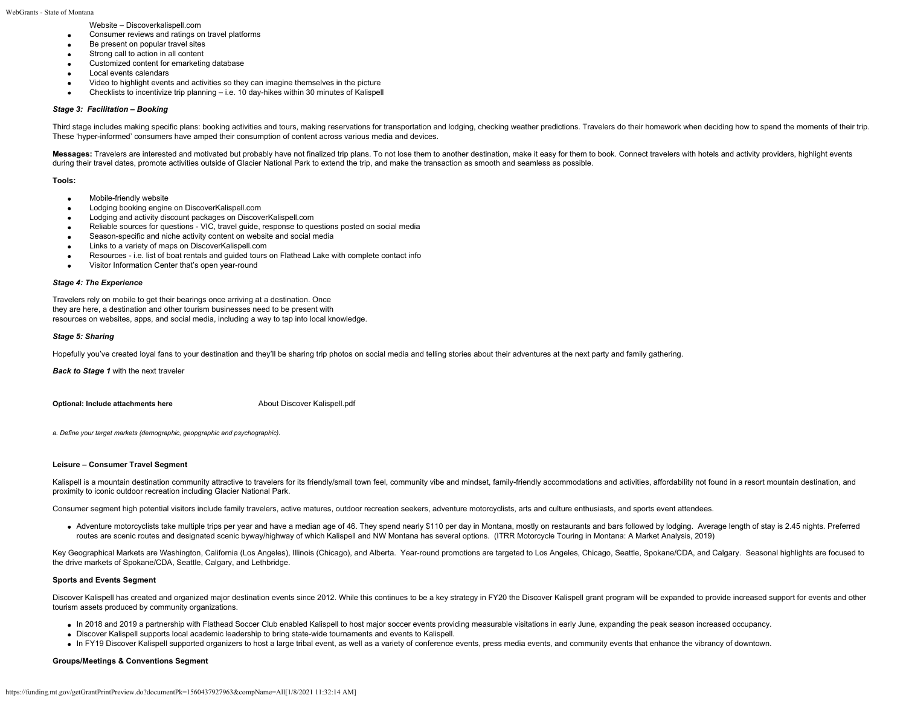WebGrants - State of Montana

Website – Discoverkalispell.com

- Consumer reviews and ratings on travel platforms  $\bullet$
- Be present on popular travel sites
- Strong call to action in all content  $\bullet$
- Customized content for emarketing database  $\bullet$
- Local events calendars  $\bullet$
- Video to highlight events and activities so they can imagine themselves in the picture  $\bullet$
- Checklists to incentivize trip planning i.e. 10 day-hikes within 30 minutes of Kalispell

# *Stage 3: Facilitation – Booking*

Third stage includes making specific plans: booking activities and tours, making reservations for transportation and lodging, checking weather predictions. Travelers do their homework when deciding how to spend the moments These 'hyper-informed' consumers have amped their consumption of content across various media and devices.

Messages: Travelers are interested and motivated but probably have not finalized trip plans. To not lose them to another destination, make it easy for them to book. Connect travelers with hotels and activity providers, hig during their travel dates, promote activities outside of Glacier National Park to extend the trip, and make the transaction as smooth and seamless as possible.

### **Tools:**

- $\bullet$ Mobile-friendly website
- Lodging booking engine on DiscoverKalispell.com  $\bullet$
- Lodging and activity discount packages on DiscoverKalispell.com  $\bullet$
- Reliable sources for questions VIC, travel guide, response to questions posted on social media
- Season-specific and niche activity content on website and social media  $\bullet$
- Links to a variety of maps on DiscoverKalispell.com  $\bullet$
- Resources i.e. list of boat rentals and guided tours on Flathead Lake with complete contact info  $\bullet$
- Visitor Information Center that's open year-round

### *Stage 4: The Experience*

Travelers rely on mobile to get their bearings once arriving at a destination. Once they are here, a destination and other tourism businesses need to be present with resources on websites, apps, and social media, including a way to tap into local knowledge.

### *Stage 5: Sharing*

Hopefully you've created loyal fans to your destination and they'll be sharing trip photos on social media and telling stories about their adventures at the next party and family gathering.

*Back to Stage 1* with the next traveler

**Optional: Include attachments here** [About Discover Kalispell.pdf](https://funding.mt.gov/fileDownload.jsp?filename=1556316160989_About+Discover+Kalispell.pdf)

*a. Define your target markets (demographic, geopgraphic and psychographic).*

### **Leisure – Consumer Travel Segment**

Kalispell is a mountain destination community attractive to travelers for its friendly/small town feel, community vibe and mindset, family-friendly accommodations and activities, affordability not found in a resort mountai proximity to iconic outdoor recreation including Glacier National Park.

Consumer segment high potential visitors include family travelers, active matures, outdoor recreation seekers, adventure motorcyclists, arts and culture enthusiasts, and sports event attendees.

• Adventure motorcyclists take multiple trips per year and have a median age of 46. They spend nearly \$110 per day in Montana, mostly on restaurants and bars followed by lodging. Average length of stay is 2.45 nights. Pref routes are scenic routes and designated scenic byway/highway of which Kalispell and NW Montana has several options. (ITRR Motorcycle Touring in Montana: A Market Analysis, 2019)

Key Geographical Markets are Washington, California (Los Angeles), Illinois (Chicago), and Alberta. Year-round promotions are targeted to Los Angeles, Chicago, Seattle, Spokane/CDA, and Calgary. Seasonal highlights are foc the drive markets of Spokane/CDA, Seattle, Calgary, and Lethbridge.

# **Sports and Events Segment**

Discover Kalispell has created and organized major destination events since 2012. While this continues to be a key strategy in FY20 the Discover Kalispell grant program will be expanded to provide increased support for eve tourism assets produced by community organizations.

- In 2018 and 2019 a partnership with Flathead Soccer Club enabled Kalispell to host major soccer events providing measurable visitations in early June, expanding the peak season increased occupancy.
- Discover Kalispell supports local academic leadership to bring state-wide tournaments and events to Kalispell.
- In FY19 Discover Kalispell supported organizers to host a large tribal event, as well as a variety of conference events, press media events, and community events that enhance the vibrancy of downtown.

# **Groups/Meetings & Conventions Segment**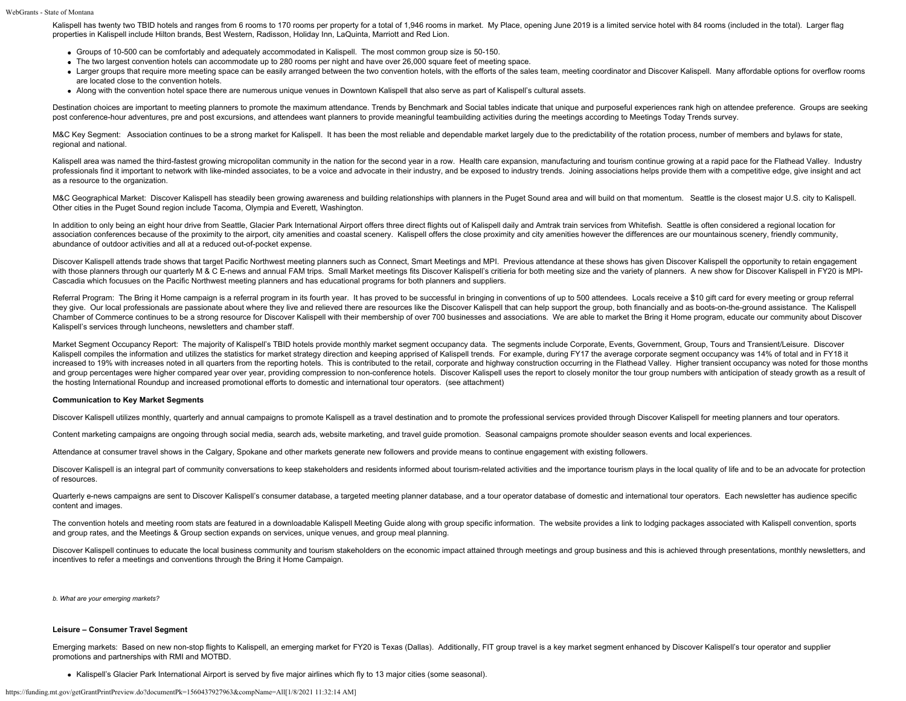Kalispell has twenty two TBID hotels and ranges from 6 rooms to 170 rooms per property for a total of 1,946 rooms in market. My Place, opening June 2019 is a limited service hotel with 84 rooms (included in the total). Lar properties in Kalispell include Hilton brands, Best Western, Radisson, Holiday Inn, LaQuinta, Marriott and Red Lion.

- Groups of 10-500 can be comfortably and adequately accommodated in Kalispell. The most common group size is 50-150.
- The two largest convention hotels can accommodate up to 280 rooms per night and have over 26,000 square feet of meeting space.
- Larger groups that require more meeting space can be easily arranged between the two convention hotels, with the efforts of the sales team, meeting coordinator and Discover Kalispell. Many affordable options for overflow are located close to the convention hotels.
- Along with the convention hotel space there are numerous unique venues in Downtown Kalispell that also serve as part of Kalispell's cultural assets.

Destination choices are important to meeting planners to promote the maximum attendance. Trends by Benchmark and Social tables indicate that unique and purposeful experiences rank high on attendee preference. Groups are se post conference-hour adventures, pre and post excursions, and attendees want planners to provide meaningful teambuilding activities during the meetings according to Meetings Today Trends survey.

M&C Key Segment: Association continues to be a strong market for Kalispell. It has been the most reliable and dependable market largely due to the predictability of the rotation process, number of members and bylaws for st regional and national.

Kalispell area was named the third-fastest growing micropolitan community in the nation for the second year in a row. Health care expansion, manufacturing and tourism continue growing at a rapid pace for the Flathead Valle professionals find it important to network with like-minded associates, to be a voice and advocate in their industry, and be exposed to industry trends. Joining associations helps provide them with a competitive edge, give as a resource to the organization.

M&C Geographical Market: Discover Kalispell has steadily been growing awareness and building relationships with planners in the Puget Sound area and will build on that momentum. Seattle is the closest major U.S. city to Ka Other cities in the Puget Sound region include Tacoma, Olympia and Everett, Washington.

In addition to only being an eight hour drive from Seattle, Glacier Park International Airport offers three direct flights out of Kalispell daily and Amtrak train services from Whitefish. Seattle is often considered a regi association conferences because of the proximity to the airport, city amenities and coastal scenery. Kalispell offers the close proximity and city amenities however the differences are our mountainous scenery, friendly com abundance of outdoor activities and all at a reduced out-of-pocket expense.

Discover Kalispell attends trade shows that target Pacific Northwest meeting planners such as Connect. Smart Meetings and MPI. Previous attendance at these shows has given Discover Kalispell the opportunity to retain engag with those planners through our quarterly M & C E-news and annual FAM trips. Small Market meetings fits Discover Kalispell's critieria for both meeting size and the variety of planners. A new show for Discover Kalispell in Cascadia which focusues on the Pacific Northwest meeting planners and has educational programs for both planners and suppliers.

Referral Program: The Bring it Home campaign is a referral program in its fourth year. It has proved to be successful in bringing in conventions of up to 500 attendees. Locals receive a \$10 gift card for every meeting or g they give. Our local professionals are passionate about where they live and relieved there are resources like the Discover Kalispell that can help support the group, both financially and as boots-on-the-ground assistance. Chamber of Commerce continues to be a strong resource for Discover Kalispell with their membership of over 700 businesses and associations. We are able to market the Bring it Home program, educate our community about Disco Kalispell's services through luncheons, newsletters and chamber staff.

Market Segment Occupancy Report: The majority of Kalispell's TBID hotels provide monthly market segment occupancy data. The segments include Corporate, Events, Government, Group, Tours and Transient/Leisure. Discover Kalispell compiles the information and utilizes the statistics for market strategy direction and keeping apprised of Kalispell trends. For example, during FY17 the average corporate segment occupancy was 14% of total and i increased to 19% with increases noted in all quarters from the reporting hotels. This is contributed to the retail, corporate and highway construction occurring in the Flathead Valley. Higher transient occupancy was noted and group percentages were higher compared year over year, providing compression to non-conference hotels. Discover Kalispell uses the report to closely monitor the tour group numbers with anticipation of steady growth as the hosting International Roundup and increased promotional efforts to domestic and international tour operators. (see attachment)

# **Communication to Key Market Segments**

Discover Kalispell utilizes monthly, quarterly and annual campaigns to promote Kalispell as a travel destination and to promote the professional services provided through Discover Kalispell for meeting planners and tour op

Content marketing campaigns are ongoing through social media, search ads, website marketing, and travel guide promotion. Seasonal campaigns promote shoulder season events and local experiences.

Attendance at consumer travel shows in the Calgary, Spokane and other markets generate new followers and provide means to continue engagement with existing followers.

Discover Kalispell is an integral part of community conversations to keep stakeholders and residents informed about tourism-related activities and the importance tourism plays in the local quality of life and to be an advo of resources.

Quarterly e-news campaigns are sent to Discover Kalispell's consumer database, a targeted meeting planner database, and a tour operator database of domestic and international tour operators. Each newsletter has audience sp content and images.

The convention hotels and meeting room stats are featured in a downloadable Kalispell Meeting Guide along with group specific information. The website provides a link to lodging packages associated with Kalispell conventio and group rates, and the Meetings & Group section expands on services, unique venues, and group meal planning.

Discover Kalispell continues to educate the local business community and tourism stakeholders on the economic impact attained through meetings and group business and this is achieved through presentations, monthly newslett incentives to refer a meetings and conventions through the Bring it Home Campaign.

*b. What are your emerging markets?*

## **Leisure – Consumer Travel Segment**

Emerging markets: Based on new non-stop flights to Kalispell, an emerging market for FY20 is Texas (Dallas). Additionally, FIT group travel is a key market segment enhanced by Discover Kalispell's tour operator and supplier promotions and partnerships with RMI and MOTBD.

Kalispell's Glacier Park International Airport is served by five major airlines which fly to 13 major cities (some seasonal).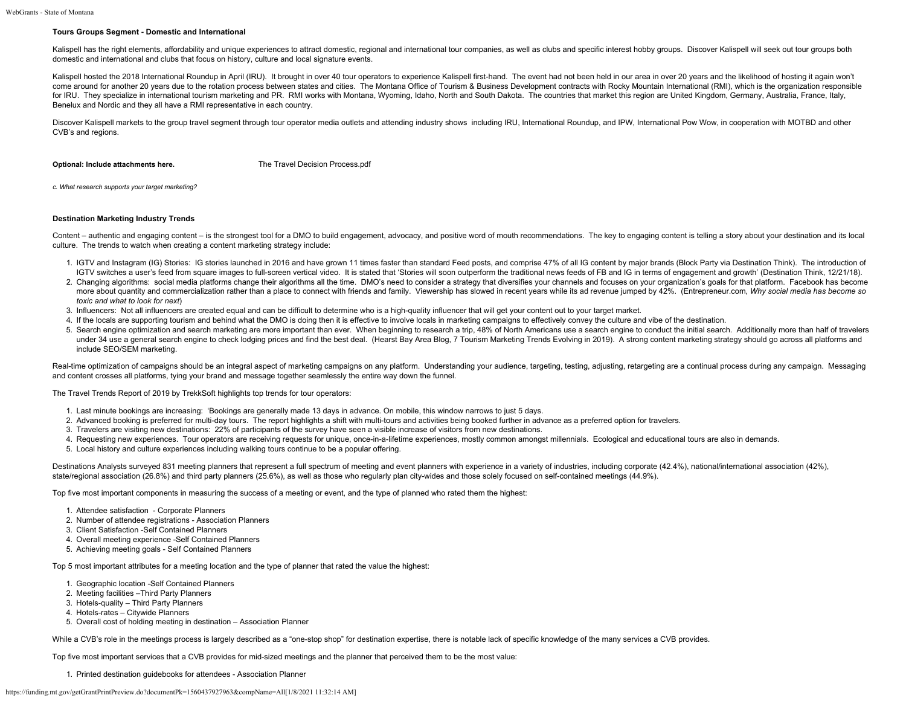## **Tours Groups Segment - Domestic and International**

Kalispell has the right elements, affordability and unique experiences to attract domestic, regional and international tour companies, as well as clubs and specific interest hobby groups. Discover Kalispell will seek out t domestic and international and clubs that focus on history, culture and local signature events.

Kalispell hosted the 2018 International Roundup in April (IRU). It brought in over 40 tour operators to experience Kalispell first-hand. The event had not been held in our area in over 20 years and the likelihood of hostin come around for another 20 years due to the rotation process between states and cities. The Montana Office of Tourism & Business Development contracts with Rocky Mountain International (RMI), which is the organization resp for IRU. They specialize in international tourism marketing and PR. RMI works with Montana, Wyoming, Idaho, North and South Dakota. The countries that market this region are United Kingdom, Germany, Australia, France, Ital Benelux and Nordic and they all have a RMI representative in each country.

Discover Kalispell markets to the group travel segment through tour operator media outlets and attending industry shows including IRU, International Roundup, and IPW, International Pow Wow, in cooperation with MOTBD and ot CVB's and regions.

**Optional: Include attachments here.** [The Travel Decision Process.pdf](https://funding.mt.gov/fileDownload.jsp?filename=1556316160980_The+Travel+Decision+Process.pdf)

*c. What research supports your target marketing?*

# **Destination Marketing Industry Trends**

Content – authentic and engaging content – is the strongest tool for a DMO to build engagement, advocacy, and positive word of mouth recommendations. The key to engaging content is telling a story about your destination an culture. The trends to watch when creating a content marketing strategy include:

- 1. IGTV and Instagram (IG) Stories: IG stories launched in 2016 and have grown 11 times faster than standard Feed posts, and comprise 47% of all IG content by major brands (Block Party via Destination Think). The introduct IGTV switches a user's feed from square images to full-screen vertical video. It is stated that 'Stories will soon outperform the traditional news feeds of FB and IG in terms of engagement and growth' (Destination Think, 1
- 2. Changing algorithms: social media platforms change their algorithms all the time. DMO's need to consider a strategy that diversifies your channels and focuses on your organization's goals for that platform. Facebook has more about quantity and commercialization rather than a place to connect with friends and family. Viewership has slowed in recent years while its ad revenue jumped by 42%. (Entrepreneur.com, Why social media has become so *toxic and what to look for next*)
- 3. Influencers: Not all influencers are created equal and can be difficult to determine who is a high-quality influencer that will get your content out to your target market.
- 4. If the locals are supporting tourism and behind what the DMO is doing then it is effective to involve locals in marketing campaigns to effectively convey the culture and vibe of the destination.
- 5. Search engine optimization and search marketing are more important than ever. When beginning to research a trip, 48% of North Americans use a search engine to conduct the initial search. Additionally more than half of t under 34 use a general search engine to check lodging prices and find the best deal. (Hearst Bay Area Blog, 7 Tourism Marketing Trends Evolving in 2019). A strong content marketing strategy should go across all platforms a include SEO/SEM marketing.

Real-time optimization of campaigns should be an integral aspect of marketing campaigns on any platform. Understanding your audience, targeting, testing, adjusting, retargeting are a continual process during any campaign. and content crosses all platforms, tying your brand and message together seamlessly the entire way down the funnel.

The Travel Trends Report of 2019 by TrekkSoft highlights top trends for tour operators:

- 1. Last minute bookings are increasing: 'Bookings are generally made 13 days in advance. On mobile, this window narrows to just 5 days.
- 2. Advanced booking is preferred for multi-day tours. The report highlights a shift with multi-tours and activities being booked further in advance as a preferred option for travelers.
- 3. Travelers are visiting new destinations: 22% of participants of the survey have seen a visible increase of visitors from new destinations.
- 4. Requesting new experiences. Tour operators are receiving requests for unique, once-in-a-lifetime experiences, mostly common amongst millennials. Ecological and educational tours are also in demands.
- 5. Local history and culture experiences including walking tours continue to be a popular offering.

Destinations Analysts surveyed 831 meeting planners that represent a full spectrum of meeting and event planners with experience in a variety of industries, including corporate (42.4%), national/international association ( state/regional association (26.8%) and third party planners (25.6%), as well as those who regularly plan city-wides and those solely focused on self-contained meetings (44.9%).

Top five most important components in measuring the success of a meeting or event, and the type of planned who rated them the highest:

- 1. Attendee satisfaction Corporate Planners
- 2. Number of attendee registrations Association Planners
- 3. Client Satisfaction -Self Contained Planners
- 4. Overall meeting experience -Self Contained Planners
- 5. Achieving meeting goals Self Contained Planners

Top 5 most important attributes for a meeting location and the type of planner that rated the value the highest:

- 1. Geographic location -Self Contained Planners
- 2. Meeting facilities –Third Party Planners
- 3. Hotels-quality Third Party Planners
- 4. Hotels-rates Citywide Planners
- 5. Overall cost of holding meeting in destination Association Planner

While a CVB's role in the meetings process is largely described as a "one-stop shop" for destination expertise, there is notable lack of specific knowledge of the many services a CVB provides.

Top five most important services that a CVB provides for mid-sized meetings and the planner that perceived them to be the most value:

1. Printed destination guidebooks for attendees - Association Planner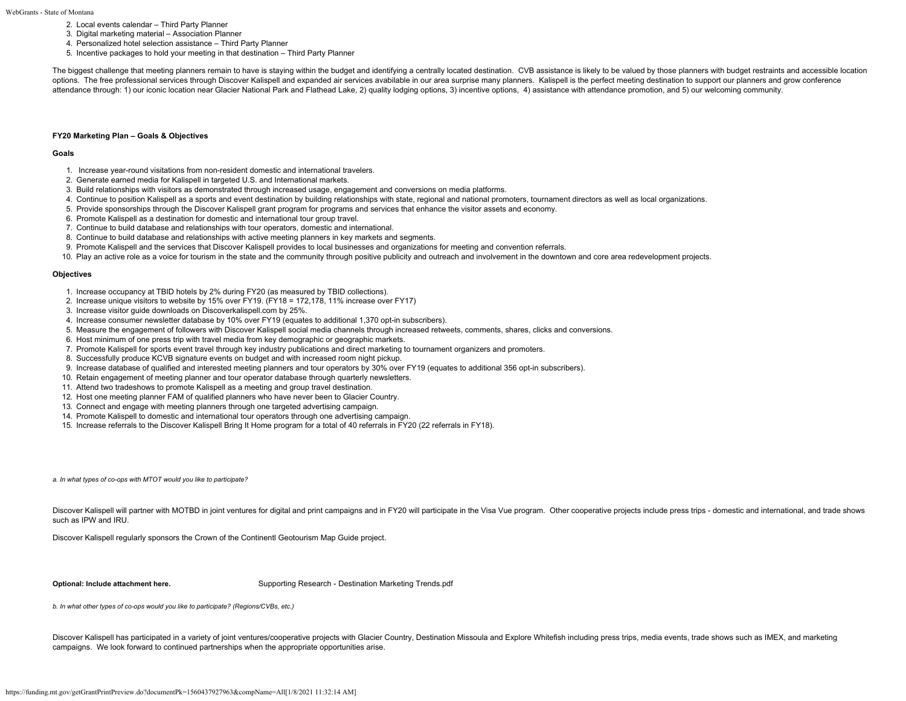- 2. Local events calendar Third Party Planner
- 3. Digital marketing material Association Planner
- 4. Personalized hotel selection assistance Third Party Planner
- 5. Incentive packages to hold your meeting in that destination Third Party Planner

The biggest challenge that meeting planners remain to have is staying within the budget and identifying a centrally located destination. CVB assistance is likely to be valued by those planners with budget restraints and ac options. The free professional services through Discover Kalispell and expanded air services avabilable in our area surprise many planners. Kalispell is the perfect meeting destination to support our planners and grow conf attendance through: 1) our iconic location near Glacier National Park and Flathead Lake, 2) quality lodging options, 3) incentive options, 4) assistance with attendance promotion, and 5) our welcoming community.

# **FY20 Marketing Plan – Goals & Objectives**

#### **Goals**

- 1. Increase year-round visitations from non-resident domestic and international travelers.
- 2. Generate earned media for Kalispell in targeted U.S. and International markets.
- 3. Build relationships with visitors as demonstrated through increased usage, engagement and conversions on media platforms.
- 4. Continue to position Kalispell as a sports and event destination by building relationships with state, regional and national promoters, tournament directors as well as local organizations.
- 5. Provide sponsorships through the Discover Kalispell grant program for programs and services that enhance the visitor assets and economy.
- 6. Promote Kalispell as a destination for domestic and international tour group travel.
- 7. Continue to build database and relationships with tour operators, domestic and international.
- 8. Continue to build database and relationships with active meeting planners in key markets and segments.
- 9. Promote Kalispell and the services that Discover Kalispell provides to local businesses and organizations for meeting and convention referrals.
- 10. Play an active role as a voice for tourism in the state and the community through positive publicity and outreach and involvement in the downtown and core area redevelopment projects.

## **Objectives**

- 1. Increase occupancy at TBID hotels by 2% during FY20 (as measured by TBID collections).
- 2. Increase unique visitors to website by 15% over FY19. (FY18 = 172,178, 11% increase over FY17)
- 3. Increase visitor guide downloads on Discoverkalispell.com by 25%.
- 4. Increase consumer newsletter database by 10% over FY19 (equates to additional 1,370 opt-in subscribers).
- 5. Measure the engagement of followers with Discover Kalispell social media channels through increased retweets, comments, shares, clicks and conversions.
- 6. Host minimum of one press trip with travel media from key demographic or geographic markets.
- 7. Promote Kalispell for sports event travel through key industry publications and direct marketing to tournament organizers and promoters.
- 8. Successfully produce KCVB signature events on budget and with increased room night pickup.
- 9. Increase database of qualified and interested meeting planners and tour operators by 30% over FY19 (equates to additional 356 opt-in subscribers).
- 10. Retain engagement of meeting planner and tour operator database through quarterly newsletters.
- 11. Attend two tradeshows to promote Kalispell as a meeting and group travel destination.
- 12. Host one meeting planner FAM of qualified planners who have never been to Glacier Country.
- 13. Connect and engage with meeting planners through one targeted advertising campaign.
- 14. Promote Kalispell to domestic and international tour operators through one advertising campaign.
- 15. Increase referrals to the Discover Kalispell Bring It Home program for a total of 40 referrals in FY20 (22 referrals in FY18).

*a. In what types of co-ops with MTOT would you like to participate?*

Discover Kalispell will partner with MOTBD in joint ventures for digital and print campaigns and in FY20 will participate in the Visa Vue program. Other cooperative projects include press trips - domestic and international such as IPW and IRU.

Discover Kalispell regularly sponsors the Crown of the Continentl Geotourism Map Guide project.

**Optional: Include attachment here.** [Supporting Research - Destination Marketing Trends.pdf](https://funding.mt.gov/fileDownload.jsp?filename=1556317446905_Supporting+Research+-+Destination+Marketing+Trends.pdf)

*b. In what other types of co-ops would you like to participate? (Regions/CVBs, etc.)*

Discover Kalispell has participated in a variety of joint ventures/cooperative projects with Glacier Country, Destination Missoula and Explore Whitefish including press trips, media events, trade shows such as IMEX, and ma campaigns. We look forward to continued partnerships when the appropriate opportunities arise.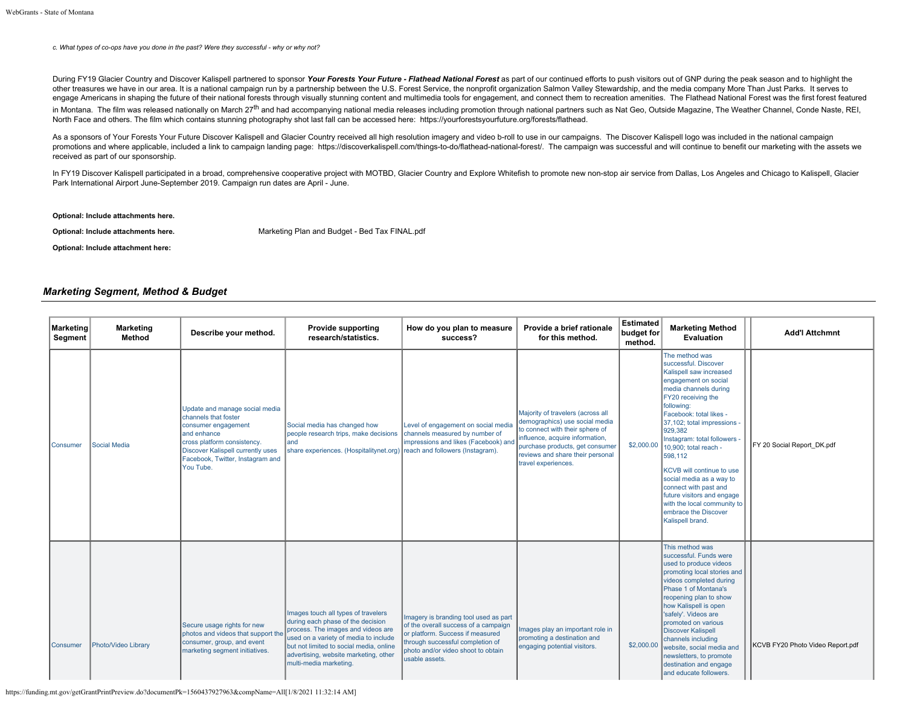*c. What types of co-ops have you done in the past? Were they successful - why or why not?*

During FY19 Glacier Country and Discover Kalispell partnered to sponsor Your Forests Your Future - Flathead National Forest as part of our continued efforts to push visitors out of GNP during the peak season and to highlig other treasures we have in our area. It is a national campaign run by a partnership between the U.S. Forest Service, the nonprofit organization Salmon Valley Stewardship, and the media company More Than Just Parks. It serv engage Americans in shaping the future of their national forests through visually stunning content and multimedia tools for engagement, and connect them to recreation amenities. The Flathead National Forest was the first f in Montana. The film was released nationally on March 27<sup>th</sup> and had accompanying national media releases including promotion through national partners such as Nat Geo, Outside Magazine. The Weather Channel, Conde Naste, R North Face and others. The film which contains stunning photography shot last fall can be accessed here: <https://yourforestsyourfuture.org/forests/flathead>.

As a sponsors of Your Forests Your Future Discover Kalispell and Glacier Country received all high resolution imagery and video b-roll to use in our campaigns. The Discover Kalispell logo was included in the national campa promotions and where applicable, included a link to campaign landing page: [https://discoverkalispell.com/things-to-do/flathead-national-forest/.](https://discoverkalispell.com/things-to-do/flathead-national-forest/) The campaign was successful and will continue to benefit our marketing with t received as part of our sponsorship.

In FY19 Discover Kalispell participated in a broad, comprehensive cooperative project with MOTBD, Glacier Country and Explore Whitefish to promote new non-stop air service from Dallas, Los Angeles and Chicago to Kalispell, Park International Airport June-September 2019. Campaign run dates are April - June.

# **Optional: Include attachments here.**

**Optional: Include attachments here.** [Marketing Plan and Budget - Bed Tax FINAL.pdf](https://funding.mt.gov/fileDownload.jsp?filename=1556319381136_Marketing+Plan+and+Budget+-+Bed+Tax+FINAL.pdf)

#### **Optional: Include attachment here:**

# *Marketing Segment, Method & Budget*

| <b>Marketing</b><br>Segment | <b>Marketing</b><br><b>Method</b> | Describe your method.                                                                                                                                                                                             | <b>Provide supporting</b><br>research/statistics.                                                                                                                                                                                                                     | How do you plan to measure<br>success?                                                                                                                                                                        | Provide a brief rationale<br>for this method.                                                                                                                                                                                           | <b>Estimated</b><br>budget for<br>method. | <b>Marketing Method</b><br>Evaluation                                                                                                                                                                                                                                                                                                                                                                                                                                                             | <b>Add'l Attchmnt</b>            |
|-----------------------------|-----------------------------------|-------------------------------------------------------------------------------------------------------------------------------------------------------------------------------------------------------------------|-----------------------------------------------------------------------------------------------------------------------------------------------------------------------------------------------------------------------------------------------------------------------|---------------------------------------------------------------------------------------------------------------------------------------------------------------------------------------------------------------|-----------------------------------------------------------------------------------------------------------------------------------------------------------------------------------------------------------------------------------------|-------------------------------------------|---------------------------------------------------------------------------------------------------------------------------------------------------------------------------------------------------------------------------------------------------------------------------------------------------------------------------------------------------------------------------------------------------------------------------------------------------------------------------------------------------|----------------------------------|
| <b>Consumer</b>             | Social Media                      | Update and manage social media<br>channels that foster<br>consumer engagement<br>and enhance<br>cross platform consistency.<br>Discover Kalispell currently uses<br>Facebook, Twitter, Instagram and<br>You Tube. | Social media has changed how<br>people research trips, make decisions<br>and<br>share experiences. (Hospitalitynet.org) reach and followers (Instagram).                                                                                                              | Level of engagement on social media<br>channels measured by number of<br>impressions and likes (Facebook) and                                                                                                 | Majority of travelers (across all<br>demographics) use social media<br>to connect with their sphere of<br>influence, acquire information,<br>purchase products, get consumer<br>reviews and share their personal<br>travel experiences. | \$2,000.00                                | The method was<br>successful, Discover<br>Kalispell saw increased<br>engagement on social<br>media channels during<br>FY20 receiving the<br>following:<br>Facebook: total likes -<br>37,102; total impressions -<br>929,382<br>Instagram: total followers -<br>10.900: total reach -<br>598,112<br><b>KCVB</b> will continue to use<br>social media as a way to<br>connect with past and<br>future visitors and engage<br>with the local community to<br>embrace the Discover<br>Kalispell brand. | FY 20 Social Report DK.pdf       |
| <b>Consumer</b>             | Photo/Video Library               | Secure usage rights for new<br>photos and videos that support the<br>consumer, group, and event<br>marketing segment initiatives.                                                                                 | Images touch all types of travelers<br>during each phase of the decision<br>process. The images and videos are<br>used on a variety of media to include<br>but not limited to social media, online<br>advertising, website marketing, other<br>multi-media marketing. | Imagery is branding tool used as part<br>of the overall success of a campaign<br>or platform. Success if measured<br>through successful completion of<br>photo and/or video shoot to obtain<br>usable assets. | Images play an important role in<br>promoting a destination and<br>engaging potential visitors.                                                                                                                                         | \$2,000.00                                | This method was<br>successful. Funds were<br>used to produce videos<br>promoting local stories and<br>videos completed during<br>Phase 1 of Montana's<br>reopening plan to show<br>how Kalispell is open<br>'safely'. Videos are<br>promoted on various<br><b>Discover Kalispell</b><br>channels including<br>website, social media and<br>newsletters, to promote<br>destination and engage<br>and educate followers.                                                                            | KCVB FY20 Photo Video Report.pdf |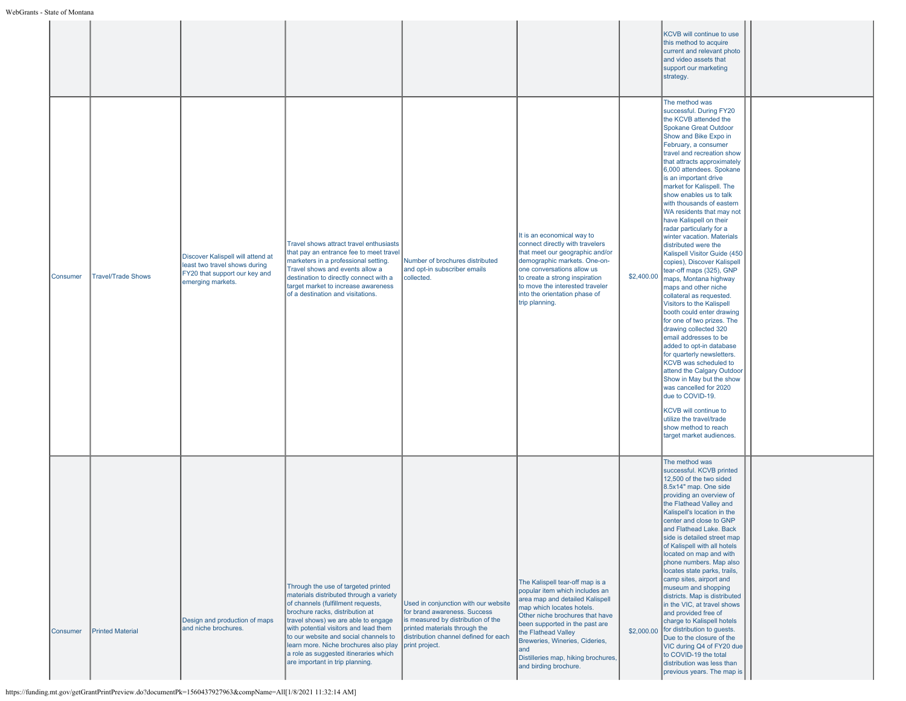|          |                           |                                                                                                                          |                                                                                                                                                                                                                                                                                                                                                                                                       |                                                                                                                                                                                                        |                                                                                                                                                                                                                                                                                                                                         |            | KCVB will continue to use<br>this method to acquire<br>current and relevant photo<br>and video assets that<br>support our marketing<br>strategy.                                                                                                                                                                                                                                                                                                                                                                                                                                                                                                                                                                                                                                                                                                                                                                                                                                                                                                                                                                           |  |
|----------|---------------------------|--------------------------------------------------------------------------------------------------------------------------|-------------------------------------------------------------------------------------------------------------------------------------------------------------------------------------------------------------------------------------------------------------------------------------------------------------------------------------------------------------------------------------------------------|--------------------------------------------------------------------------------------------------------------------------------------------------------------------------------------------------------|-----------------------------------------------------------------------------------------------------------------------------------------------------------------------------------------------------------------------------------------------------------------------------------------------------------------------------------------|------------|----------------------------------------------------------------------------------------------------------------------------------------------------------------------------------------------------------------------------------------------------------------------------------------------------------------------------------------------------------------------------------------------------------------------------------------------------------------------------------------------------------------------------------------------------------------------------------------------------------------------------------------------------------------------------------------------------------------------------------------------------------------------------------------------------------------------------------------------------------------------------------------------------------------------------------------------------------------------------------------------------------------------------------------------------------------------------------------------------------------------------|--|
| Consumer | <b>Travel/Trade Shows</b> | Discover Kalispell will attend at<br>least two travel shows during<br>FY20 that support our key and<br>emerging markets. | Travel shows attract travel enthusiasts<br>that pay an entrance fee to meet travel<br>marketers in a professional setting.<br>Travel shows and events allow a<br>destination to directly connect with a<br>target market to increase awareness<br>of a destination and visitations.                                                                                                                   | Number of brochures distributed<br>and opt-in subscriber emails<br>collected.                                                                                                                          | It is an economical way to<br>connect directly with travelers<br>that meet our geographic and/or<br>demographic markets. One-on-<br>one conversations allow us<br>to create a strong inspiration<br>to move the interested traveler<br>into the orientation phase of<br>trip planning.                                                  | \$2,400.00 | The method was<br>successful. During FY20<br>the KCVB attended the<br><b>Spokane Great Outdoor</b><br>Show and Bike Expo in<br>February, a consumer<br>travel and recreation show<br>that attracts approximately<br>6,000 attendees. Spokane<br>is an important drive<br>market for Kalispell. The<br>show enables us to talk<br>with thousands of eastern<br>WA residents that may not<br>have Kalispell on their<br>radar particularly for a<br>winter vacation. Materials<br>distributed were the<br>Kalispell Visitor Guide (450<br>copies), Discover Kalispell<br>tear-off maps (325), GNP<br>maps, Montana highway<br>maps and other niche<br>collateral as requested.<br>Visitors to the Kalispell<br>booth could enter drawing<br>for one of two prizes. The<br>drawing collected 320<br>email addresses to be<br>added to opt-in database<br>for quarterly newsletters.<br>KCVB was scheduled to<br>attend the Calgary Outdoor<br>Show in May but the show<br>was cancelled for 2020<br>due to COVID-19.<br>KCVB will continue to<br>utilize the travel/trade<br>show method to reach<br>target market audiences. |  |
| Consumer | <b>Printed Material</b>   | Design and production of maps<br>and niche brochures.                                                                    | Through the use of targeted printed<br>materials distributed through a variety<br>of channels (fulfillment requests,<br>brochure racks, distribution at<br>travel shows) we are able to engage<br>with potential visitors and lead them<br>to our website and social channels to<br>learn more. Niche brochures also play<br>a role as suggested itineraries which<br>are important in trip planning. | Used in conjunction with our website<br>for brand awareness. Success<br>is measured by distribution of the<br>printed materials through the<br>distribution channel defined for each<br>print project. | The Kalispell tear-off map is a<br>popular item which includes an<br>area map and detailed Kalispell<br>map which locates hotels.<br>Other niche brochures that have<br>been supported in the past are<br>the Flathead Valley<br>Breweries, Wineries, Cideries,<br>land<br>Distilleries map, hiking brochures,<br>and birding brochure. |            | The method was<br>successful. KCVB printed<br>12,500 of the two sided<br>8.5x14" map. One side<br>providing an overview of<br>the Flathead Valley and<br>Kalispell's location in the<br>center and close to GNP<br>and Flathead Lake. Back<br>side is detailed street map<br>of Kalispell with all hotels<br>located on map and with<br>phone numbers. Map also<br>locates state parks, trails,<br>camp sites, airport and<br>museum and shopping<br>districts. Map is distributed<br>in the VIC, at travel shows<br>and provided free of<br>charge to Kalispell hotels<br>\$2,000.00 for distribution to guests.<br>Due to the closure of the<br>VIC during Q4 of FY20 due<br>to COVID-19 the total<br>distribution was less than<br>previous years. The map is                                                                                                                                                                                                                                                                                                                                                           |  |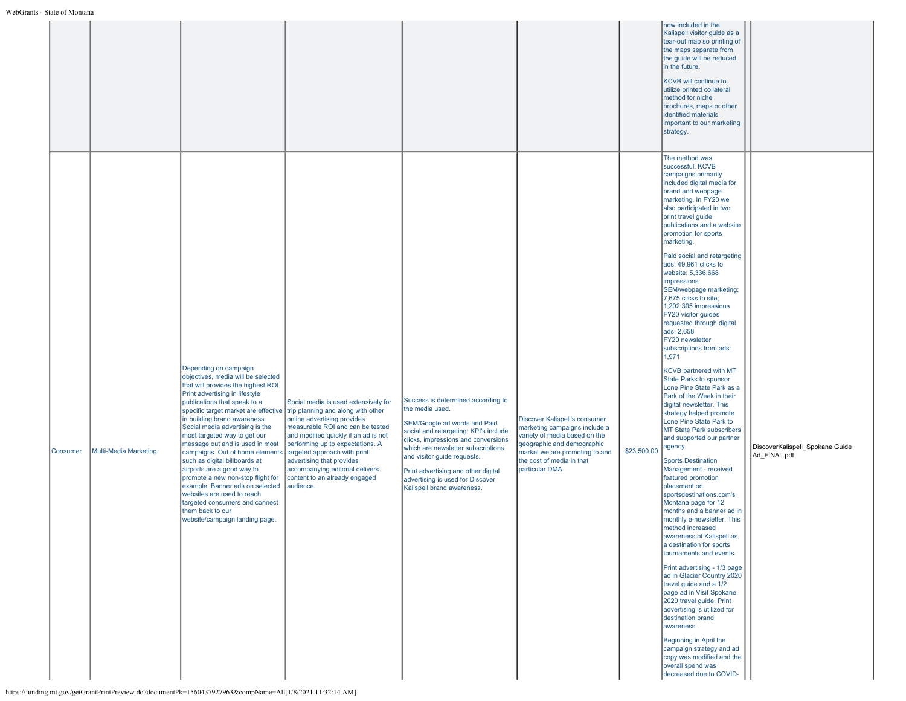|          |                              |                                                                                                                                                                                                                                                                                                                                                                                                                                                                                                                                                                                                                                                                                                                                                                                                     |                                                                                                                                                                                                                                                                                                                                   |                                                                                                                                                                                                                                                                                                                                                     |                                                                                                                                                                                                                 |             | now included in the<br>Kalispell visitor guide as a<br>tear-out map so printing of<br>the maps separate from<br>the guide will be reduced<br>in the future.<br>KCVB will continue to<br>utilize printed collateral<br>method for niche<br>brochures, maps or other<br>identified materials<br>important to our marketing<br>strategy.                                                                                                                                                                                                                                                                                                                                                                                                                                                                                                                                                                                                                                                                                                                                                                                                                                                                                                                                                                                                                                                                                                                                                                            |                                                 |
|----------|------------------------------|-----------------------------------------------------------------------------------------------------------------------------------------------------------------------------------------------------------------------------------------------------------------------------------------------------------------------------------------------------------------------------------------------------------------------------------------------------------------------------------------------------------------------------------------------------------------------------------------------------------------------------------------------------------------------------------------------------------------------------------------------------------------------------------------------------|-----------------------------------------------------------------------------------------------------------------------------------------------------------------------------------------------------------------------------------------------------------------------------------------------------------------------------------|-----------------------------------------------------------------------------------------------------------------------------------------------------------------------------------------------------------------------------------------------------------------------------------------------------------------------------------------------------|-----------------------------------------------------------------------------------------------------------------------------------------------------------------------------------------------------------------|-------------|------------------------------------------------------------------------------------------------------------------------------------------------------------------------------------------------------------------------------------------------------------------------------------------------------------------------------------------------------------------------------------------------------------------------------------------------------------------------------------------------------------------------------------------------------------------------------------------------------------------------------------------------------------------------------------------------------------------------------------------------------------------------------------------------------------------------------------------------------------------------------------------------------------------------------------------------------------------------------------------------------------------------------------------------------------------------------------------------------------------------------------------------------------------------------------------------------------------------------------------------------------------------------------------------------------------------------------------------------------------------------------------------------------------------------------------------------------------------------------------------------------------|-------------------------------------------------|
| Consumer | <b>Multi-Media Marketing</b> | Depending on campaign<br>objectives, media will be selected<br>that will provides the highest ROI.<br>Print advertising in lifestyle<br>publications that speak to a<br>specific target market are effective trip planning and along with other<br>in building brand awareness.<br>Social media advertising is the<br>most targeted way to get our<br>message out and is used in most<br>campaigns. Out of home elements<br>such as digital billboards at<br>airports are a good way to<br>promote a new non-stop flight for<br>example. Banner ads on selected<br>websites are used to reach<br>targeted consumers and connect<br>them back to our<br>website/campaign landing page.<br>https://funding.mt.gov/getGrantPrintPreview.do?documentPk=1560437927963&compName=All[1/8/2021 11:32:14 AM] | Social media is used extensively for<br>online advertising provides<br>measurable ROI and can be tested<br>and modified quickly if an ad is not<br>performing up to expectations. A<br>targeted approach with print<br>advertising that provides<br>accompanying editorial delivers<br>content to an already engaged<br>audience. | Success is determined according to<br>the media used.<br>SEM/Google ad words and Paid<br>social and retargeting: KPI's include<br>clicks, impressions and conversions<br>which are newsletter subscriptions<br>and visitor guide requests.<br>Print advertising and other digital<br>advertising is used for Discover<br>Kalispell brand awareness. | Discover Kalispell's consumer<br>marketing campaigns include a<br>variety of media based on the<br>geographic and demographic<br>market we are promoting to and<br>the cost of media in that<br>particular DMA. | \$23,500.00 | The method was<br>successful, KCVB<br>campaigns primarily<br>included digital media for<br>brand and webpage<br>marketing. In FY20 we<br>also participated in two<br>print travel guide<br>publications and a website<br>promotion for sports<br>marketing.<br>Paid social and retargeting<br>ads: 49,961 clicks to<br>website; 5,336,668<br>impressions<br>SEM/webpage marketing:<br>7,675 clicks to site;<br>1,202,305 impressions<br>FY20 visitor guides<br>requested through digital<br>ads: 2,658<br>FY20 newsletter<br>subscriptions from ads:<br>1,971<br><b>KCVB</b> partnered with MT<br>State Parks to sponsor<br>Lone Pine State Park as a<br>Park of the Week in their<br>digital newsletter. This<br>strategy helped promote<br>Lone Pine State Park to<br>MT State Park subscribers<br>and supported our partner<br>agency.<br><b>Sports Destination</b><br>Management - received<br>featured promotion<br>placement on<br>sportsdestinations.com's<br>Montana page for 12<br>months and a banner ad in<br>monthly e-newsletter. This<br>method increased<br>awareness of Kalispell as<br>a destination for sports<br>tournaments and events.<br>Print advertising - 1/3 page<br>ad in Glacier Country 2020<br>travel guide and a 1/2<br>page ad in Visit Spokane<br>2020 travel guide. Print<br>advertising is utilized for<br>destination brand<br>awareness.<br>Beginning in April the<br>campaign strategy and ad<br>copy was modified and the<br>overall spend was<br>decreased due to COVID- | DiscoverKalispell_Spokane Guide<br>Ad FINAL.pdf |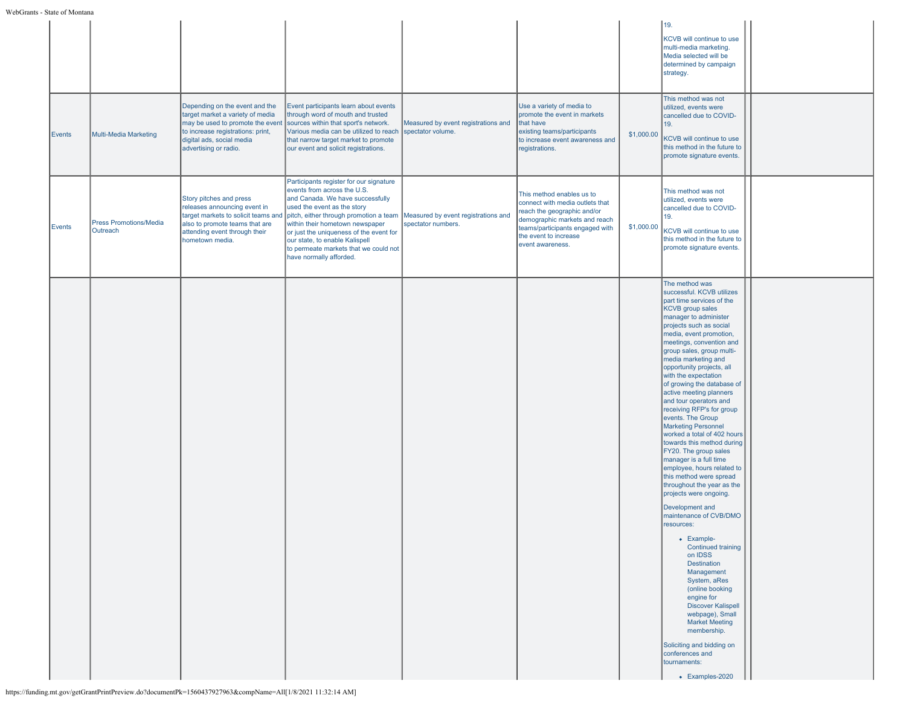|        |                                           |                                                                                                                                                                                                   |                                                                                                                                                                                                                                                                                                                                                                                                             |                                     |                                                                                                                                                                                                              |            | 19.<br>KCVB will continue to use<br>multi-media marketing.<br>Media selected will be<br>determined by campaign<br>strategy.                                                                                                                                                                                                                                                                                                                                                                                                                                                                                                                                                                                                                                                                                                                                                                                                                                                                                                                                                                           |  |
|--------|-------------------------------------------|---------------------------------------------------------------------------------------------------------------------------------------------------------------------------------------------------|-------------------------------------------------------------------------------------------------------------------------------------------------------------------------------------------------------------------------------------------------------------------------------------------------------------------------------------------------------------------------------------------------------------|-------------------------------------|--------------------------------------------------------------------------------------------------------------------------------------------------------------------------------------------------------------|------------|-------------------------------------------------------------------------------------------------------------------------------------------------------------------------------------------------------------------------------------------------------------------------------------------------------------------------------------------------------------------------------------------------------------------------------------------------------------------------------------------------------------------------------------------------------------------------------------------------------------------------------------------------------------------------------------------------------------------------------------------------------------------------------------------------------------------------------------------------------------------------------------------------------------------------------------------------------------------------------------------------------------------------------------------------------------------------------------------------------|--|
| Events | Multi-Media Marketing                     | Depending on the event and the<br>target market a variety of media<br>may be used to promote the event<br>to increase registrations: print,<br>digital ads, social media<br>advertising or radio. | Event participants learn about events<br>through word of mouth and trusted<br>sources within that sport's network.<br>Various media can be utilized to reach spectator volume.<br>that narrow target market to promote<br>our event and solicit registrations.                                                                                                                                              | Measured by event registrations and | Use a variety of media to<br>promote the event in markets<br>that have<br>existing teams/participants<br>to increase event awareness and<br>registrations.                                                   | \$1,000.00 | This method was not<br>utilized, events were<br>cancelled due to COVID-<br>19.<br>KCVB will continue to use<br>this method in the future to<br>promote signature events.                                                                                                                                                                                                                                                                                                                                                                                                                                                                                                                                                                                                                                                                                                                                                                                                                                                                                                                              |  |
| Events | <b>Press Promotions/Media</b><br>Outreach | Story pitches and press<br>releases announcing event in<br>target markets to solicit teams and<br>also to promote teams that are<br>attending event through their<br>hometown media.              | Participants register for our signature<br>events from across the U.S.<br>and Canada. We have successfully<br>used the event as the story<br>pitch, either through promotion a team Measured by event registrations and<br>within their hometown newspaper<br>or just the uniqueness of the event for<br>our state, to enable Kalispell<br>to permeate markets that we could not<br>have normally afforded. | spectator numbers.                  | This method enables us to<br>connect with media outlets that<br>reach the geographic and/or<br>demographic markets and reach<br>teams/participants engaged with<br>the event to increase<br>event awareness. | \$1,000.00 | This method was not<br>utilized, events were<br>cancelled due to COVID-<br>19.<br>KCVB will continue to use<br>this method in the future to<br>promote signature events.                                                                                                                                                                                                                                                                                                                                                                                                                                                                                                                                                                                                                                                                                                                                                                                                                                                                                                                              |  |
|        |                                           |                                                                                                                                                                                                   |                                                                                                                                                                                                                                                                                                                                                                                                             |                                     |                                                                                                                                                                                                              |            | The method was<br>successful. KCVB utilizes<br>part time services of the<br><b>KCVB</b> group sales<br>manager to administer<br>projects such as social<br>media, event promotion,<br>meetings, convention and<br>group sales, group multi-<br>media marketing and<br>opportunity projects, all<br>with the expectation<br>of growing the database of<br>active meeting planners<br>and tour operators and<br>receiving RFP's for group<br>events. The Group<br><b>Marketing Personnel</b><br>worked a total of 402 hours<br>towards this method during<br>FY20. The group sales<br>manager is a full time<br>employee, hours related to<br>this method were spread<br>throughout the year as the<br>projects were ongoing.<br>Development and<br>maintenance of CVB/DMO<br>resources:<br>• Example-<br><b>Continued training</b><br>on IDSS<br>Destination<br>Management<br>System, aRes<br>(online booking<br>engine for<br><b>Discover Kalispell</b><br>webpage), Small<br><b>Market Meeting</b><br>membership.<br>Soliciting and bidding on<br>conferences and<br>tournaments:<br>• Examples-2020 |  |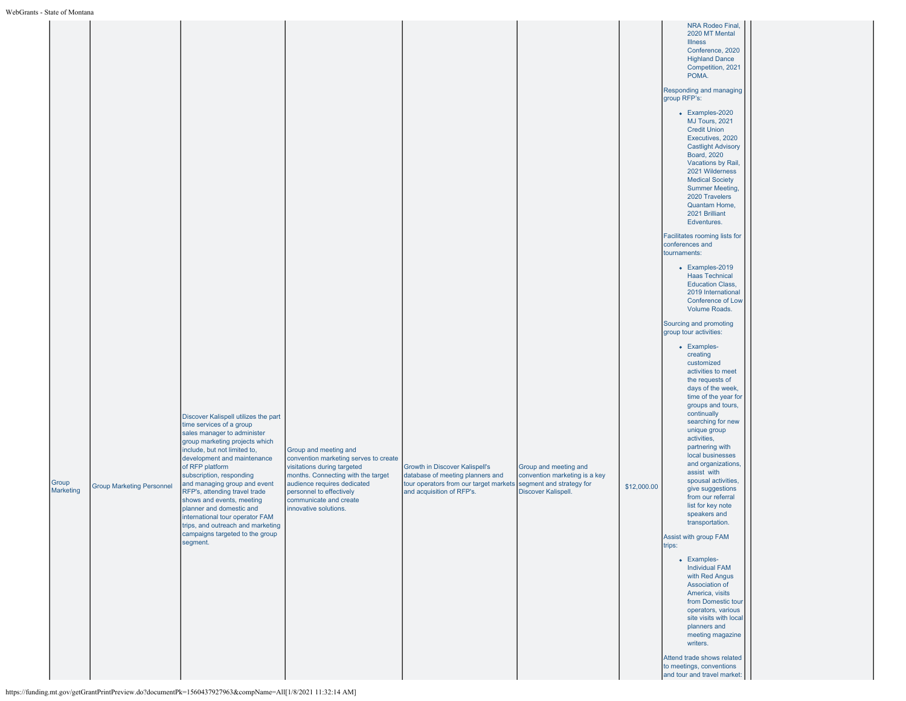| • маје от мощана   |                                  |                                                                                                                                                                                                                                                                                                                                                                                                                                                                                                  |                                                                                                                                                                                                                                                   |                                                                                                                                                                    |                                                                               |             |                                                                                                                                                                                                                                                                                                                                                                                                                                                                                                                                                                                                                                                                                                                                                                                                                                                                                                                                                                                                                                                                                                                                                                                                                                                                                                                                                                                                                              |  |
|--------------------|----------------------------------|--------------------------------------------------------------------------------------------------------------------------------------------------------------------------------------------------------------------------------------------------------------------------------------------------------------------------------------------------------------------------------------------------------------------------------------------------------------------------------------------------|---------------------------------------------------------------------------------------------------------------------------------------------------------------------------------------------------------------------------------------------------|--------------------------------------------------------------------------------------------------------------------------------------------------------------------|-------------------------------------------------------------------------------|-------------|------------------------------------------------------------------------------------------------------------------------------------------------------------------------------------------------------------------------------------------------------------------------------------------------------------------------------------------------------------------------------------------------------------------------------------------------------------------------------------------------------------------------------------------------------------------------------------------------------------------------------------------------------------------------------------------------------------------------------------------------------------------------------------------------------------------------------------------------------------------------------------------------------------------------------------------------------------------------------------------------------------------------------------------------------------------------------------------------------------------------------------------------------------------------------------------------------------------------------------------------------------------------------------------------------------------------------------------------------------------------------------------------------------------------------|--|
| Group<br>Marketing | <b>Group Marketing Personnel</b> | Discover Kalispell utilizes the part<br>time services of a group<br>sales manager to administer<br>group marketing projects which<br>include, but not limited to,<br>development and maintenance<br>of RFP platform<br>subscription, responding<br>and managing group and event<br>RFP's, attending travel trade<br>shows and events, meeting<br>planner and domestic and<br>international tour operator FAM<br>trips, and outreach and marketing<br>campaigns targeted to the group<br>segment. | Group and meeting and<br>convention marketing serves to create<br>visitations during targeted<br>months. Connecting with the target<br>audience requires dedicated<br>personnel to effectively<br>communicate and create<br>innovative solutions. | Growth in Discover Kalispell's<br>database of meeting planners and<br>tour operators from our target markets segment and strategy for<br>and acquisition of RFP's. | Group and meeting and<br>convention marketing is a key<br>Discover Kalispell. | \$12,000.00 | NRA Rodeo Final,<br>2020 MT Mental<br><b>Illness</b><br>Conference, 2020<br><b>Highland Dance</b><br>Competition, 2021<br>POMA.<br>Responding and managing<br>group RFP's:<br>• Examples-2020<br>MJ Tours, 2021<br><b>Credit Union</b><br>Executives, 2020<br><b>Castlight Advisory</b><br><b>Board, 2020</b><br>Vacations by Rail,<br>2021 Wilderness<br><b>Medical Society</b><br><b>Summer Meeting,</b><br>2020 Travelers<br>Quantam Home,<br>2021 Brilliant<br>Edventures.<br>Facilitates rooming lists for<br>conferences and<br>tournaments:<br>• Examples-2019<br><b>Haas Technical</b><br><b>Education Class,</b><br>2019 International<br>Conference of Low<br>Volume Roads.<br>Sourcing and promoting<br>group tour activities:<br>• Examples-<br>creating<br>customized<br>activities to meet<br>the requests of<br>days of the week,<br>time of the year for<br>groups and tours,<br>continually<br>searching for new<br>unique group<br>activities,<br>partnering with<br>local businesses<br>and organizations,<br>assist with<br>spousal activities,<br>give suggestions<br>from our referral<br>list for key note<br>speakers and<br>transportation.<br>Assist with group FAM<br>trips:<br>• Examples-<br><b>Individual FAM</b><br>with Red Angus<br>Association of<br>America, visits<br>from Domestic tour<br>operators, various<br>site visits with local<br>planners and<br>meeting magazine<br>writers. |  |
|                    |                                  |                                                                                                                                                                                                                                                                                                                                                                                                                                                                                                  |                                                                                                                                                                                                                                                   |                                                                                                                                                                    |                                                                               |             | Attend trade shows related<br>to meetings, conventions<br>and tour and travel market:                                                                                                                                                                                                                                                                                                                                                                                                                                                                                                                                                                                                                                                                                                                                                                                                                                                                                                                                                                                                                                                                                                                                                                                                                                                                                                                                        |  |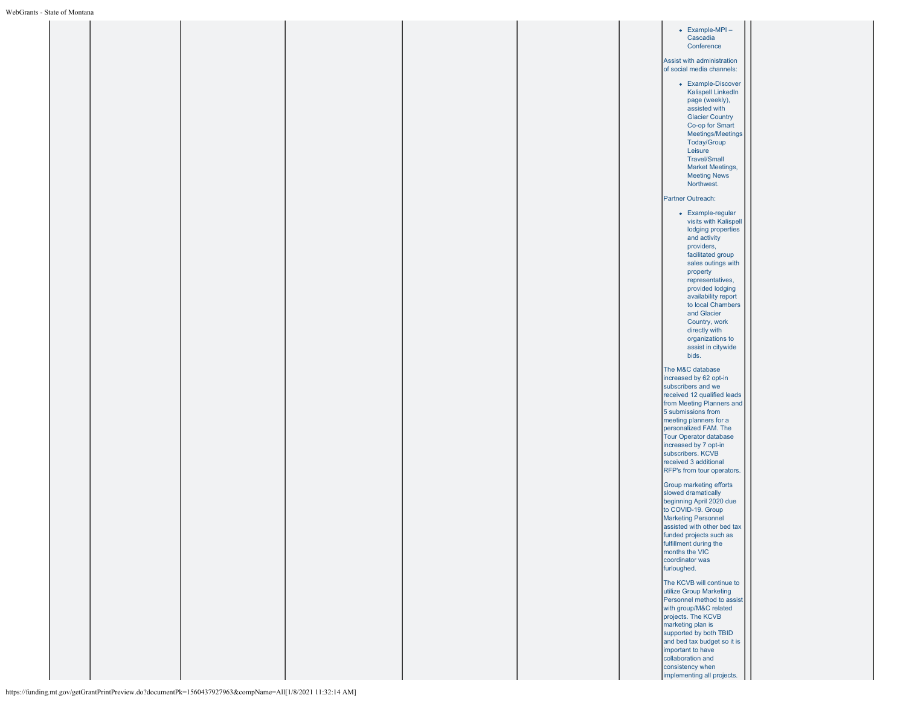|  |  |  |  | • Example-MPI-<br>Cascadia<br>Conference                                                                                                                                                                                                                                                                                                      |
|--|--|--|--|-----------------------------------------------------------------------------------------------------------------------------------------------------------------------------------------------------------------------------------------------------------------------------------------------------------------------------------------------|
|  |  |  |  | Assist with administration<br>of social media channels:                                                                                                                                                                                                                                                                                       |
|  |  |  |  | • Example-Discover<br>Kalispell LinkedIn<br>page (weekly),<br>assisted with<br><b>Glacier Country</b><br>Co-op for Smart<br>Meetings/Meetings<br>Today/Group<br>Leisure<br><b>Travel/Small</b><br>Market Meetings,<br><b>Meeting News</b><br>Northwest.                                                                                       |
|  |  |  |  | Partner Outreach:                                                                                                                                                                                                                                                                                                                             |
|  |  |  |  | • Example-regular<br>visits with Kalispell<br>lodging properties<br>and activity<br>providers,<br>facilitated group<br>sales outings with<br>property<br>representatives,<br>provided lodging<br>availability report<br>to local Chambers<br>and Glacier<br>Country, work<br>directly with<br>organizations to<br>assist in citywide<br>bids. |
|  |  |  |  | The M&C database<br>increased by 62 opt-in<br>subscribers and we<br>received 12 qualified leads<br>from Meeting Planners and<br>5 submissions from                                                                                                                                                                                            |
|  |  |  |  | meeting planners for a<br>personalized FAM. The<br><b>Tour Operator database</b><br>increased by 7 opt-in<br>subscribers. KCVB<br>received 3 additional<br>RFP's from tour operators.                                                                                                                                                         |
|  |  |  |  | Group marketing efforts<br>slowed dramatically<br>beginning April 2020 due<br>to COVID-19. Group<br><b>Marketing Personnel</b><br>assisted with other bed tax<br>funded projects such as<br>fulfillment during the<br>months the VIC<br>coordinator was<br>furloughed.                                                                        |
|  |  |  |  | The KCVB will continue to<br>utilize Group Marketing<br>Personnel method to assist<br>with group/M&C related<br>projects. The KCVB<br>marketing plan is<br>supported by both TBID<br>and bed tax budget so it is<br>important to have<br>collaboration and<br>consistency when<br>implementing all projects.                                  |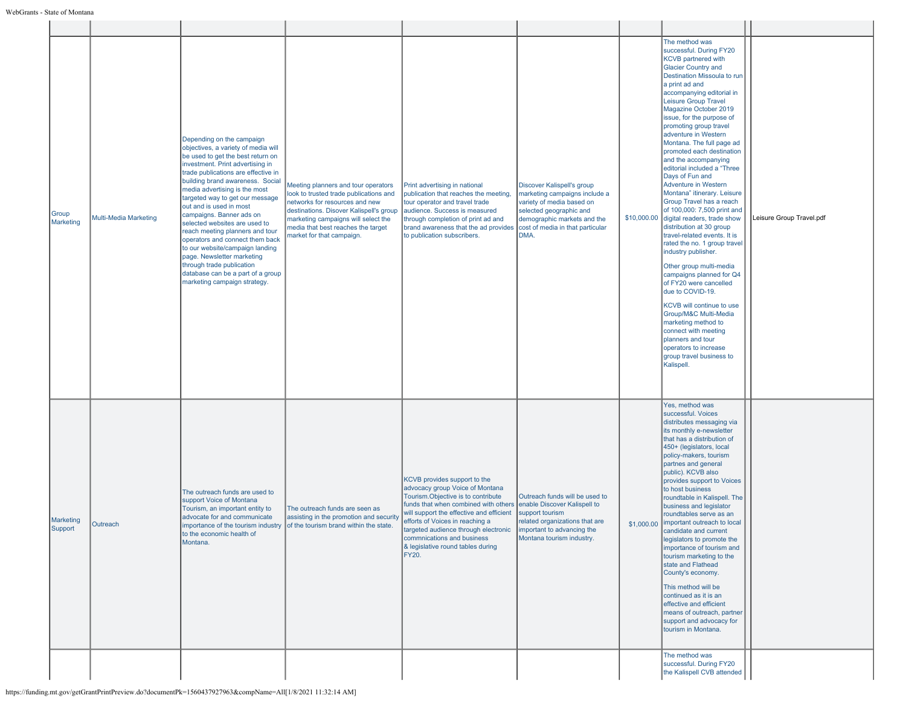| Group<br>Marketing   | <b>Multi-Media Marketing</b> | Depending on the campaign<br>objectives, a variety of media will<br>be used to get the best return on<br>investment. Print advertising in<br>trade publications are effective in<br>building brand awareness. Social<br>media advertising is the most<br>targeted way to get our message<br>out and is used in most<br>campaigns. Banner ads on<br>selected websites are used to<br>reach meeting planners and tour<br>operators and connect them back<br>to our website/campaign landing<br>page. Newsletter marketing<br>through trade publication<br>database can be a part of a group<br>marketing campaign strategy. | Meeting planners and tour operators<br>look to trusted trade publications and<br>networks for resources and new<br>destinations. Disover Kalispell's group<br>marketing campaigns will select the<br>media that best reaches the target<br>market for that campaign. | Print advertising in national<br>publication that reaches the meeting,<br>tour operator and travel trade<br>audience. Success is measured<br>through completion of print ad and<br>brand awareness that the ad provides<br>to publication subscribers.                                                                                                  | Discover Kalispell's group<br>marketing campaigns include a<br>variety of media based on<br>selected geographic and<br>demographic markets and the<br>cost of media in that particular<br>DMA. |            | The method was<br>successful. During FY20<br><b>KCVB</b> partnered with<br><b>Glacier Country and</b><br>Destination Missoula to run<br>a print ad and<br>accompanying editorial in<br><b>Leisure Group Travel</b><br>Magazine October 2019<br>issue, for the purpose of<br>promoting group travel<br>adventure in Western<br>Montana. The full page ad<br>promoted each destination<br>and the accompanying<br>editorial included a "Three<br>Days of Fun and<br>Adventure in Western<br>Montana" itinerary. Leisure<br>Group Travel has a reach<br>of 100,000: 7,500 print and<br>\$10,000.00 digital readers, trade show<br>distribution at 30 group<br>travel-related events. It is<br>rated the no. 1 group travel<br>industry publisher.<br>Other group multi-media<br>campaigns planned for Q4<br>of FY20 were cancelled<br>due to COVID-19.<br>KCVB will continue to use<br>Group/M&C Multi-Media<br>marketing method to<br>connect with meeting<br>planners and tour<br>operators to increase<br>group travel business to<br>Kalispell. | Leisure Group Travel.pdf |
|----------------------|------------------------------|---------------------------------------------------------------------------------------------------------------------------------------------------------------------------------------------------------------------------------------------------------------------------------------------------------------------------------------------------------------------------------------------------------------------------------------------------------------------------------------------------------------------------------------------------------------------------------------------------------------------------|----------------------------------------------------------------------------------------------------------------------------------------------------------------------------------------------------------------------------------------------------------------------|---------------------------------------------------------------------------------------------------------------------------------------------------------------------------------------------------------------------------------------------------------------------------------------------------------------------------------------------------------|------------------------------------------------------------------------------------------------------------------------------------------------------------------------------------------------|------------|--------------------------------------------------------------------------------------------------------------------------------------------------------------------------------------------------------------------------------------------------------------------------------------------------------------------------------------------------------------------------------------------------------------------------------------------------------------------------------------------------------------------------------------------------------------------------------------------------------------------------------------------------------------------------------------------------------------------------------------------------------------------------------------------------------------------------------------------------------------------------------------------------------------------------------------------------------------------------------------------------------------------------------------------------|--------------------------|
| Marketing<br>Support | Outreach                     | The outreach funds are used to<br>support Voice of Montana<br>Tourism, an important entity to<br>advocate for and communicate<br>importance of the tourism industry<br>to the economic health of<br>Montana.                                                                                                                                                                                                                                                                                                                                                                                                              | The outreach funds are seen as<br>assisting in the promotion and security<br>of the tourism brand within the state.                                                                                                                                                  | KCVB provides support to the<br>advocacy group Voice of Montana<br>Tourism.Objective is to contribute<br>funds that when combined with others<br>will support the effective and efficient<br>efforts of Voices in reaching a<br>targeted audience through electronic<br>commnications and business<br>& legislative round tables during<br><b>FY20.</b> | Outreach funds will be used to<br>enable Discover Kalispell to<br>support tourism<br>related organizations that are<br>important to advancing the<br>Montana tourism industry.                 | \$1,000.00 | Yes, method was<br>successful. Voices<br>distributes messaging via<br>its monthly e-newsletter<br>that has a distribution of<br>450+ (legislators, local<br>policy-makers, tourism<br>partnes and general<br>public). KCVB also<br>provides support to Voices<br>to host business<br>roundtable in Kalispell. The<br>business and legislator<br>roundtables serve as an<br>important outreach to local<br>candidate and current<br>legislators to promote the<br>importance of tourism and<br>tourism marketing to the<br>state and Flathead<br>County's economy.<br>This method will be<br>continued as it is an<br>effective and efficient<br>means of outreach, partner<br>support and advocacy for<br>tourism in Montana.<br>The method was                                                                                                                                                                                                                                                                                                  |                          |
|                      |                              |                                                                                                                                                                                                                                                                                                                                                                                                                                                                                                                                                                                                                           |                                                                                                                                                                                                                                                                      |                                                                                                                                                                                                                                                                                                                                                         |                                                                                                                                                                                                |            | successful. During FY20<br>the Kalispell CVB attended                                                                                                                                                                                                                                                                                                                                                                                                                                                                                                                                                                                                                                                                                                                                                                                                                                                                                                                                                                                            |                          |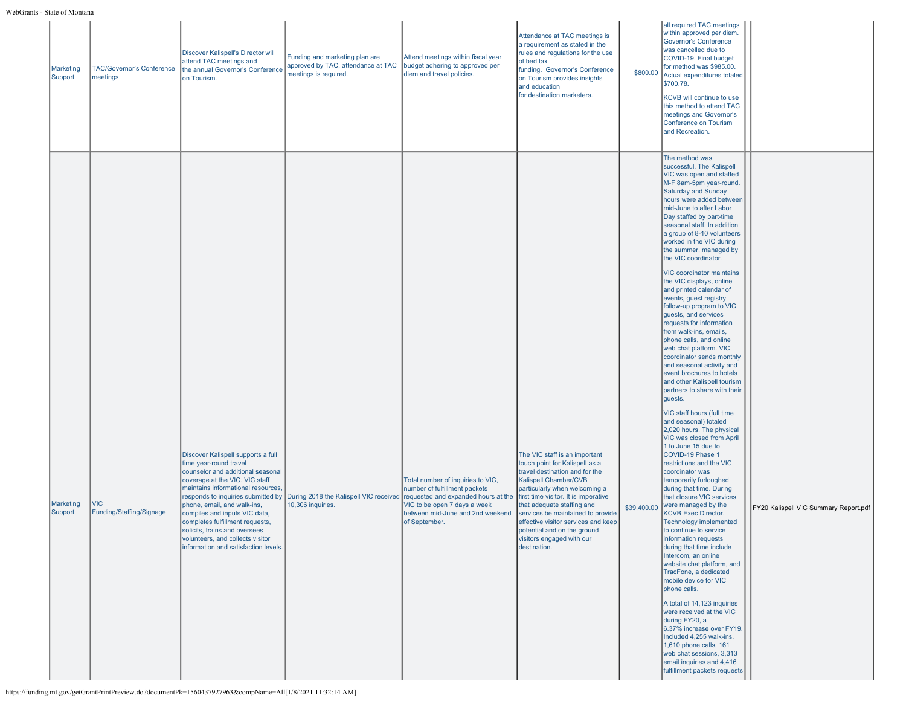| Marketing<br>Support | TAC/Governor's Conference<br>meetings | Discover Kalispell's Director will<br>attend TAC meetings and<br>the annual Governor's Conference<br>on Tourism.                                                                                                                                                                                                                                                                                                                | Funding and marketing plan are<br>approved by TAC, attendance at TAC<br>meetings is required. | Attend meetings within fiscal year<br>budget adhering to approved per<br>diem and travel policies.                                                                                             | Attendance at TAC meetings is<br>a requirement as stated in the<br>rules and regulations for the use<br>of bed tax<br>funding. Governor's Conference<br>on Tourism provides insights<br>and education<br>for destination marketers.                                                                                                                                                       | \$800.00    | all required TAC meetings<br>within approved per diem.<br><b>Governor's Conference</b><br>was cancelled due to<br>COVID-19. Final budget<br>for method was \$985.00.<br>Actual expenditures totaled<br>\$700.78.<br>KCVB will continue to use<br>this method to attend TAC<br>meetings and Governor's<br>Conference on Tourism<br>and Recreation.                                                                                                                                                                                                                                                                                                                                                                                                                                                                                                                                                                                                                                                                                                                                                                                                                                                                                                                                                                                                                                                                                                                                                                                                                                                                                                               |                                       |
|----------------------|---------------------------------------|---------------------------------------------------------------------------------------------------------------------------------------------------------------------------------------------------------------------------------------------------------------------------------------------------------------------------------------------------------------------------------------------------------------------------------|-----------------------------------------------------------------------------------------------|------------------------------------------------------------------------------------------------------------------------------------------------------------------------------------------------|-------------------------------------------------------------------------------------------------------------------------------------------------------------------------------------------------------------------------------------------------------------------------------------------------------------------------------------------------------------------------------------------|-------------|-----------------------------------------------------------------------------------------------------------------------------------------------------------------------------------------------------------------------------------------------------------------------------------------------------------------------------------------------------------------------------------------------------------------------------------------------------------------------------------------------------------------------------------------------------------------------------------------------------------------------------------------------------------------------------------------------------------------------------------------------------------------------------------------------------------------------------------------------------------------------------------------------------------------------------------------------------------------------------------------------------------------------------------------------------------------------------------------------------------------------------------------------------------------------------------------------------------------------------------------------------------------------------------------------------------------------------------------------------------------------------------------------------------------------------------------------------------------------------------------------------------------------------------------------------------------------------------------------------------------------------------------------------------------|---------------------------------------|
| Marketing<br>Support | VIC<br>Funding/Staffing/Signage       | Discover Kalispell supports a full<br>time year-round travel<br>counselor and additional seasonal<br>coverage at the VIC. VIC staff<br>maintains informational resources,<br>responds to inquiries submitted by<br>phone, email, and walk-ins,<br>compiles and inputs VIC data,<br>completes fulfillment requests,<br>solicits, trains and oversees<br>volunteers, and collects visitor<br>information and satisfaction levels. | During 2018 the Kalispell VIC received<br>10,306 inquiries.                                   | Total number of inquiries to VIC,<br>number of fulfillment packets<br>requested and expanded hours at the<br>VIC to be open 7 days a week<br>between mid-June and 2nd weekend<br>of September. | The VIC staff is an important<br>touch point for Kalispell as a<br>travel destination and for the<br>Kalispell Chamber/CVB<br>particularly when welcoming a<br>first time visitor. It is imperative<br>that adequate staffing and<br>services be maintained to provide<br>effective visitor services and keep<br>potential and on the ground<br>visitors engaged with our<br>destination. | \$39,400.00 | The method was<br>successful. The Kalispell<br>VIC was open and staffed<br>M-F 8am-5pm year-round.<br><b>Saturday and Sunday</b><br>hours were added between<br>mid-June to after Labor<br>Day staffed by part-time<br>seasonal staff. In addition<br>a group of 8-10 volunteers<br>worked in the VIC during<br>the summer, managed by<br>the VIC coordinator.<br>VIC coordinator maintains<br>the VIC displays, online<br>and printed calendar of<br>events, guest registry,<br>follow-up program to VIC<br>guests, and services<br>requests for information<br>from walk-ins, emails,<br>phone calls, and online<br>web chat platform. VIC<br>coordinator sends monthly<br>and seasonal activity and<br>event brochures to hotels<br>and other Kalispell tourism<br>partners to share with their<br>guests.<br>VIC staff hours (full time<br>and seasonal) totaled<br>2,020 hours. The physical<br>VIC was closed from April<br>1 to June 15 due to<br>COVID-19 Phase 1<br>restrictions and the VIC<br>coordinator was<br>temporarily furloughed<br>during that time. During<br>that closure VIC services<br>were managed by the<br><b>KCVB Exec Director.</b><br><b>Technology implemented</b><br>to continue to service<br>information requests<br>during that time include<br>Intercom, an online<br>website chat platform, and<br>TracFone, a dedicated<br>mobile device for VIC<br>phone calls.<br>A total of 14,123 inquiries<br>were received at the VIC<br>during FY20, a<br>6.37% increase over FY19.<br>Included 4,255 walk-ins,<br>1,610 phone calls, 161<br>web chat sessions, 3,313<br>email inquiries and 4,416<br>fulfillment packets requests | FY20 Kalispell VIC Summary Report.pdf |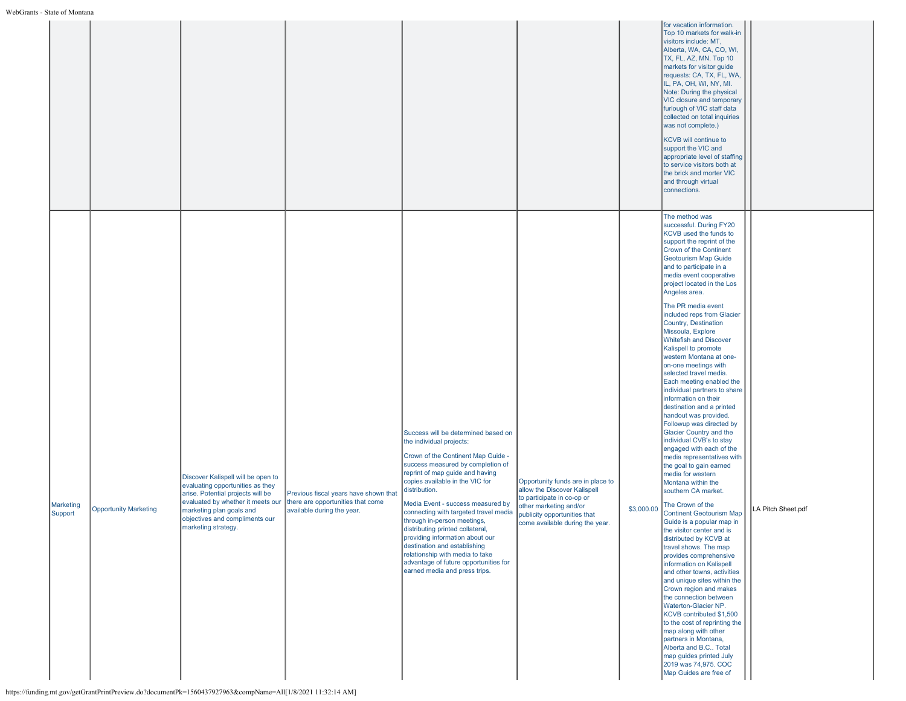|                      |                              |                                                                                                                                                                                                                                       |                                                                                                          |                                                                                                                                                                                                                                                                                                                                                                                                                                                                                                                                                                    |                                                                                                                                                                                              |            | for vacation information.<br>Top 10 markets for walk-in<br>visitors include: MT,<br>Alberta, WA, CA, CO, WI,<br>TX, FL, AZ, MN. Top 10<br>markets for visitor guide<br>requests: CA, TX, FL, WA,<br>IL, PA, OH, WI, NY, MI.<br>Note: During the physical<br>VIC closure and temporary<br>furlough of VIC staff data<br>collected on total inquiries<br>was not complete.)<br>KCVB will continue to<br>support the VIC and<br>appropriate level of staffing<br>to service visitors both at<br>the brick and morter VIC<br>and through virtual<br>connections.                                                                                                                                                                                                                                                                                                                                                                                                                                                                                                                                                                                                                                                                                                                                                                                                                                                                                                                      |                    |
|----------------------|------------------------------|---------------------------------------------------------------------------------------------------------------------------------------------------------------------------------------------------------------------------------------|----------------------------------------------------------------------------------------------------------|--------------------------------------------------------------------------------------------------------------------------------------------------------------------------------------------------------------------------------------------------------------------------------------------------------------------------------------------------------------------------------------------------------------------------------------------------------------------------------------------------------------------------------------------------------------------|----------------------------------------------------------------------------------------------------------------------------------------------------------------------------------------------|------------|-----------------------------------------------------------------------------------------------------------------------------------------------------------------------------------------------------------------------------------------------------------------------------------------------------------------------------------------------------------------------------------------------------------------------------------------------------------------------------------------------------------------------------------------------------------------------------------------------------------------------------------------------------------------------------------------------------------------------------------------------------------------------------------------------------------------------------------------------------------------------------------------------------------------------------------------------------------------------------------------------------------------------------------------------------------------------------------------------------------------------------------------------------------------------------------------------------------------------------------------------------------------------------------------------------------------------------------------------------------------------------------------------------------------------------------------------------------------------------------|--------------------|
| Marketing<br>Support | <b>Opportunity Marketing</b> | Discover Kalispell will be open to<br>evaluating opportunities as they<br>arise. Potential projects will be<br>evaluated by whether it meets our<br>marketing plan goals and<br>objectives and compliments our<br>marketing strategy. | Previous fiscal years have shown that<br>there are opportunities that come<br>available during the year. | Success will be determined based on<br>the individual projects:<br>Crown of the Continent Map Guide -<br>success measured by completion of<br>reprint of map quide and having<br>copies available in the VIC for<br>distribution.<br>Media Event - success measured by<br>connecting with targeted travel media<br>through in-person meetings,<br>distributing printed collateral,<br>providing information about our<br>destination and establishing<br>relationship with media to take<br>advantage of future opportunities for<br>earned media and press trips. | Opportunity funds are in place to<br>allow the Discover Kalispell<br>to participate in co-op or<br>other marketing and/or<br>publicity opportunities that<br>come available during the year. | \$3,000.00 | The method was<br>successful. During FY20<br>KCVB used the funds to<br>support the reprint of the<br>Crown of the Continent<br><b>Geotourism Map Guide</b><br>and to participate in a<br>media event cooperative<br>project located in the Los<br>Angeles area.<br>The PR media event<br>included reps from Glacier<br>Country, Destination<br>Missoula, Explore<br><b>Whitefish and Discover</b><br>Kalispell to promote<br>western Montana at one-<br>on-one meetings with<br>selected travel media.<br>Each meeting enabled the<br>individual partners to share<br>information on their<br>destination and a printed<br>handout was provided.<br>Followup was directed by<br>Glacier Country and the<br>individual CVB's to stay<br>engaged with each of the<br>media representatives with<br>the goal to gain earned<br>media for western<br>Montana within the<br>southern CA market.<br>The Crown of the<br><b>Continent Geotourism Map</b><br>Guide is a popular map in<br>the visitor center and is<br>distributed by KCVB at<br>travel shows. The map<br>provides comprehensive<br>information on Kalispell<br>and other towns, activities<br>and unique sites within the<br>Crown region and makes<br>the connection between<br>Waterton-Glacier NP.<br>KCVB contributed \$1,500<br>to the cost of reprinting the<br>map along with other<br>partners in Montana,<br>Alberta and B.C Total<br>map guides printed July<br>2019 was 74,975. COC<br>Map Guides are free of | LA Pitch Sheet.pdf |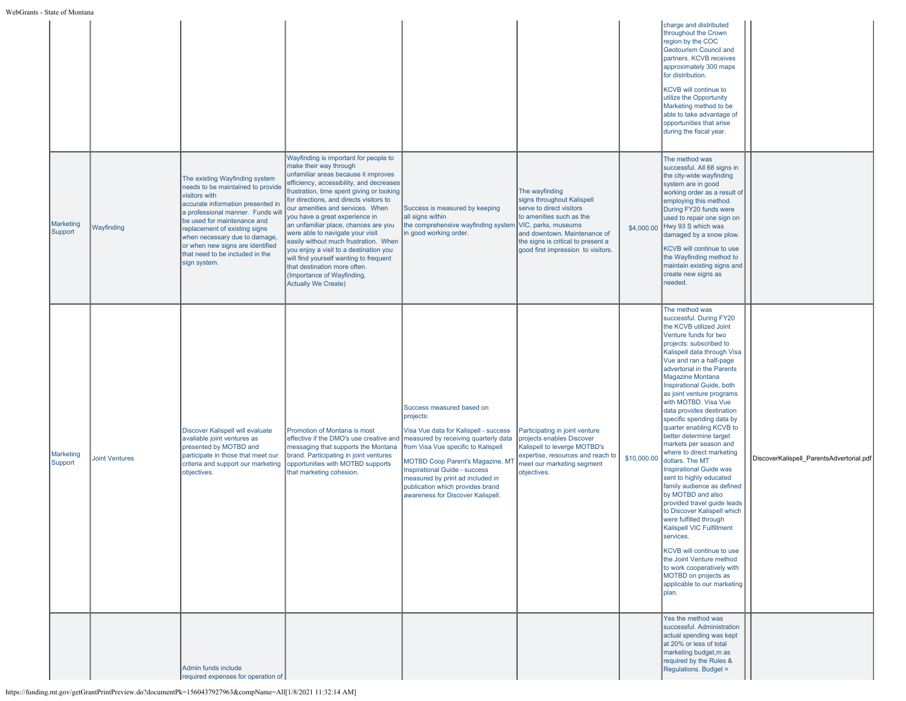# WebGrants -

| - State of Montana   |                       |                                                                                                                                                                                                                                                                                                                                                        |                                                                                                                                                                                                                                                                                                                                                                                                                                                                                                                                                                                                                        |                                                                                                                                                                                                                                                                                                                                                         |                                                                                                                                                                                                                                         |             |                                                                                                                                                                                                                                                                                                                                                                                                                                                                                                                                                                                                                                                                                                                                                                                                                                                                                                                                           |                                          |
|----------------------|-----------------------|--------------------------------------------------------------------------------------------------------------------------------------------------------------------------------------------------------------------------------------------------------------------------------------------------------------------------------------------------------|------------------------------------------------------------------------------------------------------------------------------------------------------------------------------------------------------------------------------------------------------------------------------------------------------------------------------------------------------------------------------------------------------------------------------------------------------------------------------------------------------------------------------------------------------------------------------------------------------------------------|---------------------------------------------------------------------------------------------------------------------------------------------------------------------------------------------------------------------------------------------------------------------------------------------------------------------------------------------------------|-----------------------------------------------------------------------------------------------------------------------------------------------------------------------------------------------------------------------------------------|-------------|-------------------------------------------------------------------------------------------------------------------------------------------------------------------------------------------------------------------------------------------------------------------------------------------------------------------------------------------------------------------------------------------------------------------------------------------------------------------------------------------------------------------------------------------------------------------------------------------------------------------------------------------------------------------------------------------------------------------------------------------------------------------------------------------------------------------------------------------------------------------------------------------------------------------------------------------|------------------------------------------|
|                      |                       |                                                                                                                                                                                                                                                                                                                                                        |                                                                                                                                                                                                                                                                                                                                                                                                                                                                                                                                                                                                                        |                                                                                                                                                                                                                                                                                                                                                         |                                                                                                                                                                                                                                         |             | charge and distributed<br>throughout the Crown<br>region by the COC<br>Geotourism Council and<br>partners. KCVB receives<br>approximately 300 maps<br>for distribution.<br>KCVB will continue to<br>utilize the Opportunity<br>Marketing method to be<br>able to take advantage of<br>opportunities that arise<br>during the fiscal year.                                                                                                                                                                                                                                                                                                                                                                                                                                                                                                                                                                                                 |                                          |
| Marketing<br>Support | Wayfinding            | The existing Wayfinding system<br>needs to be maintained to provide<br>visitors with<br>accurate information presented in<br>a professional manner. Funds will<br>be used for maintenance and<br>replacement of existing signs<br>when necessary due to damage,<br>or when new signs are identified<br>that need to be included in the<br>sign system. | Wayfinding is important for people to<br>make their way through<br>unfamiliar areas because it improves<br>efficiency, accessibility, and decreases<br>frustration, time spent giving or looking<br>for directions, and directs visitors to<br>our amenities and services. When<br>you have a great experience in<br>an unfamiliar place, chances are you<br>were able to navigate your visit<br>easily without much frustration. When<br>you enjoy a visit to a destination you<br>will find yourself wanting to frequent<br>that destination more often.<br>(Importance of Wayfinding,<br><b>Actually We Create)</b> | Success is measured by keeping<br>all signs within<br>the comprehensive wayfinding system<br>in good working order.                                                                                                                                                                                                                                     | The wayfinding<br>signs throughout Kalispell<br>serve to direct visitors<br>to amenities such as the<br>VIC, parks, museums<br>and downtown. Maintenance of<br>the signs is critical to present a<br>good first impression to visitors. | \$4,000.00  | The method was<br>successful. All 68 signs in<br>the city-wide wayfinding<br>system are in good<br>working order as a result of<br>employing this method.<br>During FY20 funds were<br>used to repair one sign on<br>Hwy 93 S which was<br>damaged by a snow plow.<br>KCVB will continue to use<br>the Wayfinding method to<br>maintain existing signs and<br>create new signs as<br>needed.                                                                                                                                                                                                                                                                                                                                                                                                                                                                                                                                              |                                          |
| Marketing<br>Support | <b>Joint Ventures</b> | Discover Kalispell will evaluate<br>available joint ventures as<br>presented by MOTBD and<br>participate in those that meet our<br>criteria and support our marketing<br>objectives.                                                                                                                                                                   | Promotion of Montana is most<br>effective if the DMO's use creative and<br>messaging that supports the Montana<br>brand. Participating in joint ventures<br>opportunities with MOTBD supports<br>that marketing cohesion.                                                                                                                                                                                                                                                                                                                                                                                              | Success measured based on<br>projects:<br>Visa Vue data for Kalispell - success<br>measured by receiving quarterly data<br>from Visa Vue specific to Kalispell<br><b>MOTBD Coop Parent's Magazine, MT</b><br>Inspirational Guide - success<br>measured by print ad included in<br>publication which provides brand<br>awareness for Discover Kalispell. | Participating in joint venture<br>projects enables Discover<br>Kalispell to leverge MOTBD's<br>expertise, resources and reach to<br>meet our marketing segment<br>objectives.                                                           | \$10,000.00 | The method was<br>successful. During FY20<br>the KCVB utilized Joint<br>Venture funds for two<br>projects: subscribed to<br>Kalispell data through Visa<br>Vue and ran a half-page<br>advertorial in the Parents<br>Magazine Montana<br>Inspirational Guide, both<br>as joint venture programs<br>with MOTBD. Visa Vue<br>data provides destination<br>specific spending data by<br>quarter enabling KCVB to<br>better determine target<br>markets per season and<br>where to direct marketing<br>dollars. The MT<br>Inspirational Guide was<br>sent to highly educated<br>family audience as defined<br>by MOTBD and also<br>provided travel guide leads<br>to Discover Kalispell which<br>were fulfilled through<br>Kalispell VIC Fulfillment<br>services.<br>KCVB will continue to use<br>the Joint Venture method<br>to work cooperatively with<br>MOTBD on projects as<br>applicable to our marketing<br>plan.<br>Yes the method was | DiscoverKalispell ParentsAdvertorial.pdf |
|                      |                       | Admin funds include<br>required expenses for operation of                                                                                                                                                                                                                                                                                              |                                                                                                                                                                                                                                                                                                                                                                                                                                                                                                                                                                                                                        |                                                                                                                                                                                                                                                                                                                                                         |                                                                                                                                                                                                                                         |             | successful. Administration<br>actual spending was kept<br>at 20% or less of total<br>marketing budget, m as<br>required by the Rules &<br>Regulations. Budget =                                                                                                                                                                                                                                                                                                                                                                                                                                                                                                                                                                                                                                                                                                                                                                           |                                          |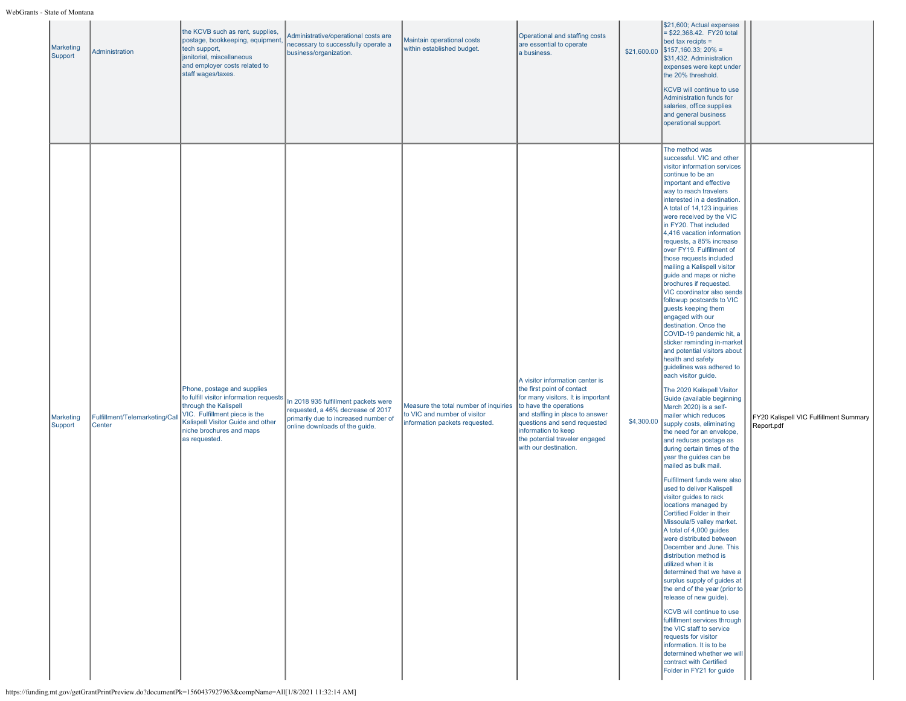| Marketing<br>Support | Administration                           | the KCVB such as rent, supplies,<br>postage, bookkeeping, equipment<br>tech support,<br>janitorial, miscellaneous<br>and employer costs related to<br>staff wages/taxes.                                           | Administrative/operational costs are<br>necessary to successfully operate a<br>business/organization.                                               | Maintain operational costs<br>within established budget.                                                | Operational and staffing costs<br>are essential to operate<br>a business.                                                                                                                                                                                                          | \$21,600.00 | \$21,600; Actual expenses<br>\$22,368.42. FY20 total<br>bed tax recipts =<br>$$157,160.33;20\% =$<br>\$31,432. Administration<br>expenses were kept under<br>the 20% threshold.<br>KCVB will continue to use<br>Administration funds for<br>salaries, office supplies<br>and general business<br>operational support.                                                                                                                                                                                                                                                                                                                                                                                                                                                                                                                                                                                                                                                                                                                                                                                                                                                                                                                                                                                                                                                                                                                                                                                                                                                                                                                                                                                                                       |                                                      |
|----------------------|------------------------------------------|--------------------------------------------------------------------------------------------------------------------------------------------------------------------------------------------------------------------|-----------------------------------------------------------------------------------------------------------------------------------------------------|---------------------------------------------------------------------------------------------------------|------------------------------------------------------------------------------------------------------------------------------------------------------------------------------------------------------------------------------------------------------------------------------------|-------------|---------------------------------------------------------------------------------------------------------------------------------------------------------------------------------------------------------------------------------------------------------------------------------------------------------------------------------------------------------------------------------------------------------------------------------------------------------------------------------------------------------------------------------------------------------------------------------------------------------------------------------------------------------------------------------------------------------------------------------------------------------------------------------------------------------------------------------------------------------------------------------------------------------------------------------------------------------------------------------------------------------------------------------------------------------------------------------------------------------------------------------------------------------------------------------------------------------------------------------------------------------------------------------------------------------------------------------------------------------------------------------------------------------------------------------------------------------------------------------------------------------------------------------------------------------------------------------------------------------------------------------------------------------------------------------------------------------------------------------------------|------------------------------------------------------|
| Marketing<br>Support | Fulfillment/Telemarketing/Call<br>Center | Phone, postage and supplies<br>to fulfill visitor information requests<br>through the Kalispell<br>VIC. Fulfillment piece is the<br>Kalispell Visitor Guide and other<br>niche brochures and maps<br>as requested. | In 2018 935 fulfillment packets were<br>requested, a 46% decrease of 2017<br>primarily due to increased number of<br>online downloads of the guide. | Measure the total number of inquiries<br>to VIC and number of visitor<br>information packets requested. | A visitor information center is<br>the first point of contact<br>for many visitors. It is important<br>to have the operations<br>and staffing in place to answer<br>questions and send requested<br>information to keep<br>the potential traveler engaged<br>with our destination. | \$4,300.00  | The method was<br>successful. VIC and other<br>visitor information services<br>continue to be an<br>important and effective<br>way to reach travelers<br>interested in a destination.<br>A total of 14,123 inquiries<br>were received by the VIC<br>in FY20. That included<br>4,416 vacation information<br>requests, a 85% increase<br>over FY19. Fulfillment of<br>those requests included<br>mailing a Kalispell visitor<br>guide and maps or niche<br>brochures if requested.<br>VIC coordinator also sends<br>followup postcards to VIC<br>guests keeping them<br>engaged with our<br>destination. Once the<br>COVID-19 pandemic hit, a<br>sticker reminding in-market<br>and potential visitors about<br>health and safety<br>guidelines was adhered to<br>each visitor guide.<br>The 2020 Kalispell Visitor<br>Guide (available beginning<br>March 2020) is a self-<br>mailer which reduces<br>supply costs, eliminating<br>the need for an envelope,<br>and reduces postage as<br>during certain times of the<br>year the guides can be<br>mailed as bulk mail.<br>Fulfillment funds were also<br>used to deliver Kalispell<br>visitor guides to rack<br>locations managed by<br>Certified Folder in their<br>Missoula/5 valley market.<br>A total of 4,000 guides<br>were distributed between<br>December and June. This<br>distribution method is<br>utilized when it is<br>determined that we have a<br>surplus supply of guides at<br>the end of the year (prior to<br>release of new guide).<br>KCVB will continue to use<br>fulfillment services through<br>the VIC staff to service<br>requests for visitor<br>information. It is to be<br>determined whether we will<br>contract with Certified<br>Folder in FY21 for quide | FY20 Kalispell VIC Fulfillment Summary<br>Report.pdf |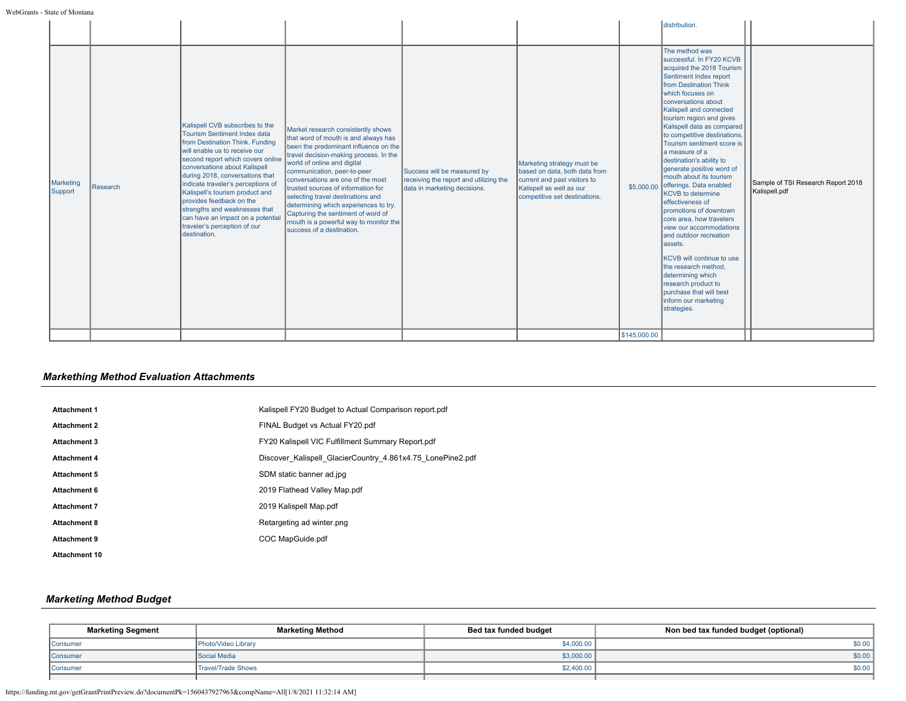|                      |          |                                                                                                                                                                                                                                                                                                                                                                                                                                                                         |                                                                                                                                                                                                                                                                                                                                                                                                                                                                                                   |                                                                                                       |                                                                                                                                                          |              | distribution.                                                                                                                                                                                                                                                                                                                                                                                                                                                                                                                                                                                                                                                                                                                                                                                                           |                                                     |
|----------------------|----------|-------------------------------------------------------------------------------------------------------------------------------------------------------------------------------------------------------------------------------------------------------------------------------------------------------------------------------------------------------------------------------------------------------------------------------------------------------------------------|---------------------------------------------------------------------------------------------------------------------------------------------------------------------------------------------------------------------------------------------------------------------------------------------------------------------------------------------------------------------------------------------------------------------------------------------------------------------------------------------------|-------------------------------------------------------------------------------------------------------|----------------------------------------------------------------------------------------------------------------------------------------------------------|--------------|-------------------------------------------------------------------------------------------------------------------------------------------------------------------------------------------------------------------------------------------------------------------------------------------------------------------------------------------------------------------------------------------------------------------------------------------------------------------------------------------------------------------------------------------------------------------------------------------------------------------------------------------------------------------------------------------------------------------------------------------------------------------------------------------------------------------------|-----------------------------------------------------|
| Marketing<br>Support | Research | Kalispell CVB subscribes to the<br>Tourism Sentiment Index data<br>from Destination Think, Funding<br>will enable us to receive our<br>second report which covers online<br>conversations about Kalispell<br>during 2018, conversations that<br>indicate traveler's perceptions of<br>Kalispell's tourism product and<br>provides feedback on the<br>strengths and weaknesses that<br>can have an impact on a potential<br>traveler's perception of our<br>destination. | Market research consistently shows<br>that word of mouth is and always has<br>been the predominant influence on the<br>travel decision-making process. In the<br>world of online and digital<br>communication, peer-to-peer<br>conversations are one of the most<br>trusted sources of information for<br>selecting travel destinations and<br>determining which experiences to try.<br>Capturing the sentiment of word of<br>mouth is a powerful way to monitor the<br>success of a destination. | Success will be measured by<br>receiving the report and utilizing the<br>data in marketing decisions. | Marketing strategy must be<br>based on data, both data from<br>current and past visitors to<br>Kalispell as well as our<br>competitive set destinations. |              | The method was<br>successful. In FY20 KCVB<br>acquired the 2018 Tourism<br>Sentiment Index report<br>from Destination Think<br>which focuses on<br>conversations about<br>Kalispell and connected<br>tourism region and gives<br>Kalispell data as compared<br>to competitive destinations.<br>Tourism sentiment score is<br>la measure of a<br>destination's ability to<br>generate positive word of<br>mouth about its tourism<br>\$5,000.00 offerings. Data enabled<br><b>KCVB</b> to determine<br>effectiveness of<br>promotions of downtown<br>core area, how travelers<br>view our accommodations<br>and outdoor recreation<br>lassets.<br><b>KCVB</b> will continue to use<br>the research method.<br>determining which<br>research product to<br>purchase that will best<br>inform our marketing<br>strategies. | Sample of TSI Research Report 2018<br>Kalispell.pdf |
|                      |          |                                                                                                                                                                                                                                                                                                                                                                                                                                                                         |                                                                                                                                                                                                                                                                                                                                                                                                                                                                                                   |                                                                                                       |                                                                                                                                                          | \$145,000.00 |                                                                                                                                                                                                                                                                                                                                                                                                                                                                                                                                                                                                                                                                                                                                                                                                                         |                                                     |

# *Markething Method Evaluation Attachments*

| <b>Attachment 1</b>  | Kalispell FY20 Budget to Actual Comparison report.pdf      |
|----------------------|------------------------------------------------------------|
| <b>Attachment 2</b>  | FINAL Budget vs Actual FY20.pdf                            |
| <b>Attachment 3</b>  | FY20 Kalispell VIC Fulfillment Summary Report.pdf          |
| <b>Attachment 4</b>  | Discover Kalispell GlacierCountry 4.861x4.75 LonePine2.pdf |
| <b>Attachment 5</b>  | SDM static banner ad.jpg                                   |
| <b>Attachment 6</b>  | 2019 Flathead Valley Map.pdf                               |
| <b>Attachment 7</b>  | 2019 Kalispell Map.pdf                                     |
| <b>Attachment 8</b>  | Retargeting ad winter.png                                  |
| <b>Attachment 9</b>  | COC MapGuide.pdf                                           |
| <b>Attachment 10</b> |                                                            |

# *Marketing Method Budget*

| <b>Marketing Segment</b> | <b>Marketing Method</b> | Bed tax funded budget | Non bed tax funded budget (optional) |
|--------------------------|-------------------------|-----------------------|--------------------------------------|
| Consumer                 | Photo/Video Library     | \$4,000.00            | \$0.00                               |
| Consumer                 | Social Media            | \$3,000.00            | \$0.00                               |
| Consumer                 | Travel/Trade Shows      | \$2,400.00            | \$0.00                               |
|                          |                         |                       |                                      |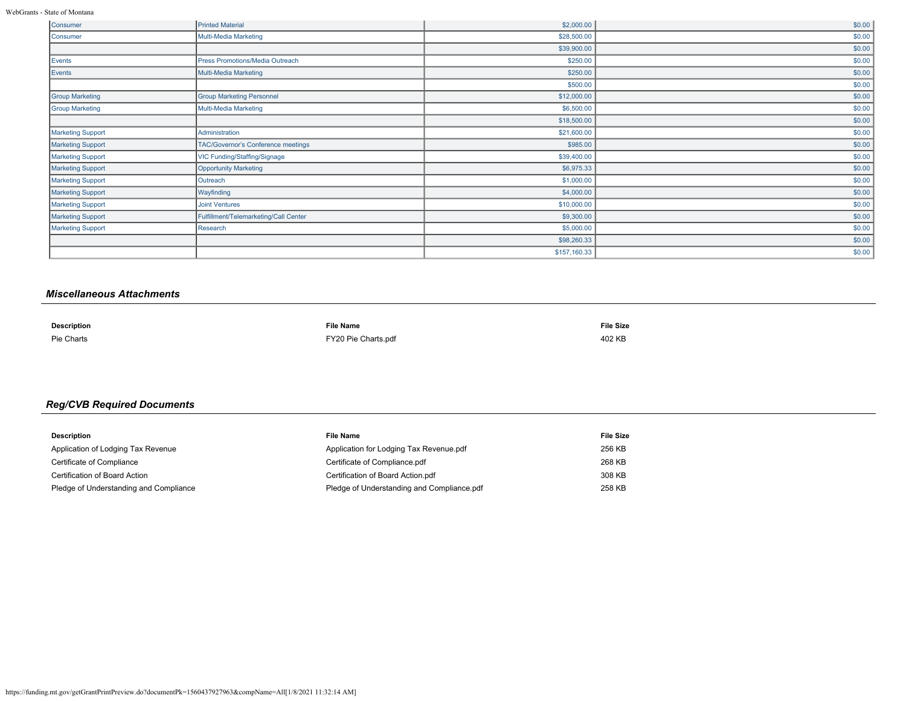WebGrants - State of Montana

| Consumer                 | <b>Printed Material</b>               | \$2,000.00   | \$0.00 |
|--------------------------|---------------------------------------|--------------|--------|
| Consumer                 | Multi-Media Marketing                 | \$28,500.00  | \$0.00 |
|                          |                                       | \$39,900.00  | \$0.00 |
| Events                   | Press Promotions/Media Outreach       | \$250.00     | \$0.00 |
| Events                   | Multi-Media Marketing                 | \$250.00     | \$0.00 |
|                          |                                       | \$500.00     | \$0.00 |
| <b>Group Marketing</b>   | <b>Group Marketing Personnel</b>      | \$12,000.00  | \$0.00 |
| <b>Group Marketing</b>   | Multi-Media Marketing                 | \$6,500.00   | \$0.00 |
|                          |                                       | \$18,500.00  | \$0.00 |
| <b>Marketing Support</b> | Administration                        | \$21,600.00  | \$0.00 |
| <b>Marketing Support</b> | TAC/Governor's Conference meetings    | \$985.00     | \$0.00 |
| Marketing Support        | VIC Funding/Staffing/Signage          | \$39,400.00  | \$0.00 |
| <b>Marketing Support</b> | <b>Opportunity Marketing</b>          | \$6,975.33   | \$0.00 |
| Marketing Support        | Outreach                              | \$1,000.00   | \$0.00 |
| <b>Marketing Support</b> | Wayfinding                            | \$4,000.00   | \$0.00 |
| <b>Marketing Support</b> | <b>Joint Ventures</b>                 | \$10,000.00  | \$0.00 |
| Marketing Support        | Fulfillment/Telemarketing/Call Center | \$9,300.00   | \$0.00 |
| Marketing Support        | Research                              | \$5,000.00   | \$0.00 |
|                          |                                       | \$98,260.33  | \$0.00 |
|                          |                                       | \$157,160.33 | \$0.00 |

# *Miscellaneous Attachments*

| <b>Description</b> | <b>File Name</b>                                                                                                                       | <b>File Size</b>                                          |
|--------------------|----------------------------------------------------------------------------------------------------------------------------------------|-----------------------------------------------------------|
| Pie Charts         | FY20 Pie Charts.pdf<br>the contract of the contract of the contract of the contract of the contract of the contract of the contract of | 402 KE<br>the contract of the contract of the contract of |

# *Reg/CVB Required Documents*

| <b>Description</b>                     | <b>File Name</b>                           | <b>File Size</b> |
|----------------------------------------|--------------------------------------------|------------------|
| Application of Lodging Tax Revenue     | Application for Lodging Tax Revenue.pdf    | 256 KB           |
| Certificate of Compliance              | Certificate of Compliance.pdf              | 268 KB           |
| Certification of Board Action          | Certification of Board Action.pdf          | 308 KB           |
| Pledge of Understanding and Compliance | Pledge of Understanding and Compliance.pdf | 258 KB           |